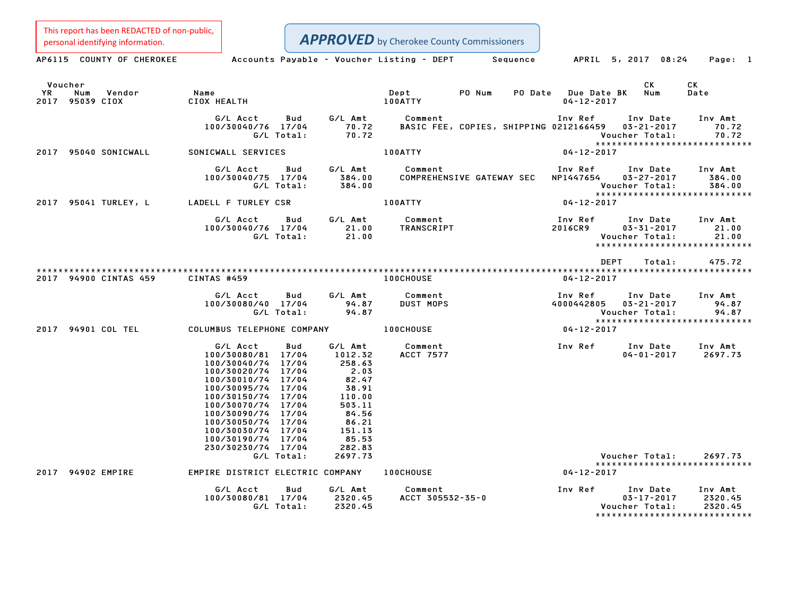This report has been REDACTED of non-public,

| personal identifying information.                 |                                                                                                                                                                                                                                      |                   |                                                                                                        | <b>APPROVED</b> by Cherokee County Commissioners |                                                    |                                  |                                                |                                                             |
|---------------------------------------------------|--------------------------------------------------------------------------------------------------------------------------------------------------------------------------------------------------------------------------------------|-------------------|--------------------------------------------------------------------------------------------------------|--------------------------------------------------|----------------------------------------------------|----------------------------------|------------------------------------------------|-------------------------------------------------------------|
| AP6115 COUNTY OF CHEROKEE                         |                                                                                                                                                                                                                                      |                   |                                                                                                        | Accounts Payable - Voucher Listing - DEPT        | Sequence                                           |                                  | APRIL 5, 2017 08:24                            | Page: 1                                                     |
| Voucher<br>YR<br>Num<br>Vendor<br>2017 95039 CIOX | Name<br>CIOX HEALTH                                                                                                                                                                                                                  |                   |                                                                                                        | Dept<br>100ATTY                                  | PO Num<br><b>PO Date</b>                           | Due Date BK<br>$04 - 12 - 2017$  | СK<br>Num                                      | CK<br>Date                                                  |
|                                                   | G/L Acct<br>100/30040/76 17/04                                                                                                                                                                                                       | Bud<br>G/L Total: | G/L Amt<br>70.72<br>70.72                                                                              | Comment                                          | BASIC FEE, COPIES, SHIPPING 0212166459  03-21-2017 | Inv Ref                          | Inv Date<br>Voucher Total:                     | Inv Amt<br>70.72<br>70.72<br>*****************************  |
| 2017 95040 SONICWALL                              | SONICWALL SERVICES                                                                                                                                                                                                                   |                   |                                                                                                        | 100ATTY                                          |                                                    | $04 - 12 - 2017$                 |                                                |                                                             |
|                                                   | G/L Acct<br>100/30040/75 17/04                                                                                                                                                                                                       | Bud<br>G/L Total: | G/L Amt<br>384.00<br>384.00                                                                            | Comment                                          | COMPREHENSIVE GATEWAY SEC                          | Inv Ref<br>NP1447654             | Inv Date<br>$03 - 27 - 2017$<br>Voucher Total: | Inv Amt<br>384.00<br>384.00                                 |
| 2017 95041 TURLEY, L                              | LADELL F TURLEY CSR                                                                                                                                                                                                                  |                   |                                                                                                        | <b>100ATTY</b>                                   |                                                    | $04 - 12 - 2017$                 |                                                | *****************************                               |
|                                                   | G/L Acct<br>100/30040/76 17/04                                                                                                                                                                                                       | Bud<br>G/L Total: | G/L Amt<br>21.00<br>21.00                                                                              | Comment<br>TRANSCRIPT                            |                                                    | Inv Ref<br>2016CR9               | Inv Date<br>$03 - 31 - 2017$<br>Voucher Total: | Inv Amt<br>21.00<br>21.00<br>*****************************  |
|                                                   |                                                                                                                                                                                                                                      |                   |                                                                                                        |                                                  |                                                    | <b>DEPT</b>                      | Total:                                         | 475.72                                                      |
| 2017 94900 CINTAS 459                             | CINTAS #459                                                                                                                                                                                                                          |                   |                                                                                                        | <b>100CHOUSE</b>                                 |                                                    | $04 - 12 - 2017$                 |                                                |                                                             |
|                                                   | G/L Acct<br>100/30080/40 17/04                                                                                                                                                                                                       | Bud<br>G/L Total: | G/L Amt<br>94.87<br>94.87                                                                              | Comment<br><b>DUST MOPS</b>                      |                                                    | Inv Ref<br>4000442805 03-21-2017 | Inv Date<br>Voucher Total:                     | Inv Amt<br>94.87<br>94.87<br>****************************** |
| 2017 94901 COL TEL                                | COLUMBUS TELEPHONE COMPANY                                                                                                                                                                                                           |                   |                                                                                                        | <b>100CHOUSE</b>                                 |                                                    | $04 - 12 - 2017$                 |                                                |                                                             |
|                                                   | G/L Acct<br>100/30080/81 17/04<br>100/30040/74 17/04<br>100/30020/74 17/04<br>100/30010/74 17/04<br>100/30095/74 17/04<br>100/30150/74 17/04<br>100/30070/74 17/04<br>100/30090/74 17/04<br>100/30050/74 17/04<br>100/30030/74 17/04 | Bud               | G/L Amt<br>1012.32<br>258.63<br>2.03<br>82.47<br>38.91<br>110.00<br>503.11<br>84.56<br>86.21<br>151.13 | Comment<br><b>ACCT 7577</b>                      | <b>Example 18 The Ref</b>                          |                                  | Inv Date<br>$04 - 01 - 2017$                   | Inv Amt<br>2697.73                                          |
|                                                   | 100/30190/74 17/04<br>230/30230/74 17/04                                                                                                                                                                                             |                   | 85.53<br>282.83                                                                                        |                                                  |                                                    |                                  |                                                |                                                             |
| 2017 94902 EMPIRE                                 | EMPIRE DISTRICT ELECTRIC COMPANY                                                                                                                                                                                                     | G/L Total:        | 2697.73                                                                                                | <b>100CHOUSE</b>                                 |                                                    | 04-12-2017                       | Voucher Total:                                 | 2697.73<br>*****************************                    |
|                                                   | G/L Acct                                                                                                                                                                                                                             | Bud               | G/L Amt                                                                                                | Comment                                          |                                                    | Inv Ref                          | Inv Date                                       | Inv Amt                                                     |
|                                                   | 100/30080/81 17/04                                                                                                                                                                                                                   | G/L Total:        | 2320.45<br>2320.45                                                                                     | ACCT 305532-35-0                                 |                                                    |                                  | $03 - 17 - 2017$<br>Voucher Total:             | 2320.45<br>2320.45<br>*****************************         |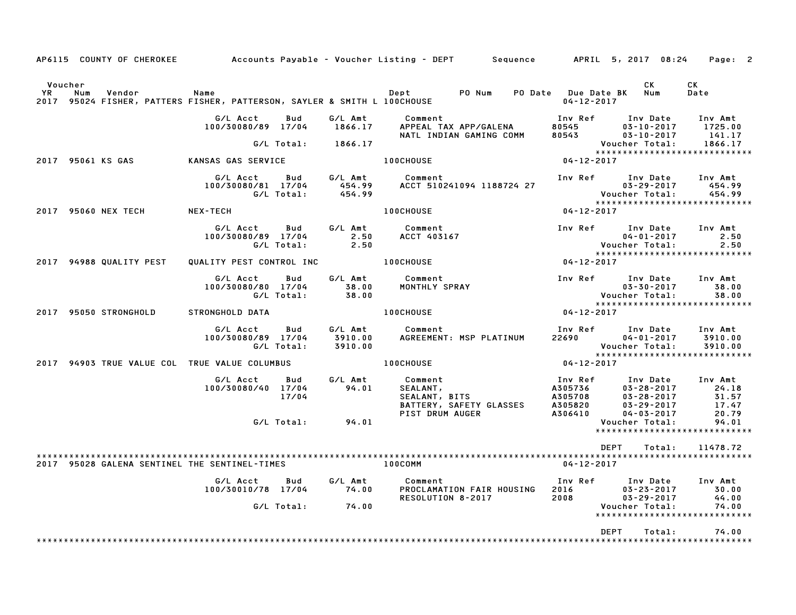|                   |                | AP6115 COUNTY OF CHEROKEE |                                                                             |                   |                               | Accounts Payable – Voucher Listing – DEPT       Sequence      APRIL 5, 2017 08:24 |                                          |                                                                                 | Page: 2                            |
|-------------------|----------------|---------------------------|-----------------------------------------------------------------------------|-------------------|-------------------------------|-----------------------------------------------------------------------------------|------------------------------------------|---------------------------------------------------------------------------------|------------------------------------|
|                   |                |                           |                                                                             |                   |                               |                                                                                   |                                          |                                                                                 | CK                                 |
| <b>YR</b><br>2017 | Voucher<br>Num | Vendor                    | Name<br>95024 FISHER, PATTERS FISHER, PATTERSON, SAYLER & SMITH L 100CHOUSE |                   |                               | PO Num<br>Dept                                                                    | PO Date Due Date BK<br>$04 - 12 - 2017$  | CК<br>Num                                                                       | Date                               |
|                   |                |                           | G/L Acct<br>100/30080/89 17/04                                              | Bud               | G/L Amt<br>1866.17            | Comment<br>APPEAL TAX APP/GALENA<br>NATL INDIAN GAMING COMM                       | Inv Ref<br>80545<br>80543                | Inv Date<br>$03 - 10 - 2017$<br>$03 - 10 - 2017$                                | Inv Amt<br>1725.00<br>141.17       |
|                   |                |                           |                                                                             | G/L Total:        | 1866.17                       |                                                                                   |                                          | Voucher Total:<br>*****************************                                 | 1866.17                            |
|                   |                | 2017 95061 KS GAS         | KANSAS GAS SERVICE                                                          |                   |                               | <b>100CHOUSE</b>                                                                  | $04 - 12 - 2017$                         |                                                                                 |                                    |
|                   |                |                           | G/L Acct<br>100/30080/81 17/04                                              | Bud<br>G/L Total: | G/L Amt<br>454.99<br>454.99   | Comment<br>ACCT 510241094 1188724 27                                              | Inv Ref                                  | Inv Date<br>$03 - 29 - 2017$<br>Voucher Total:                                  | Inv Amt<br>454.99<br>454.99        |
|                   |                | 2017 95060 NEX TECH       | NEX-TECH                                                                    |                   |                               | 100CHOUSE                                                                         | $04 - 12 - 2017$                         | *****************************                                                   |                                    |
|                   |                |                           | G/L Acct<br>100/30080/89 17/04                                              | Bud<br>G/L Total: | G/L Amt<br>2.50<br>2.50       | Comment<br>ACCT 403167                                                            | Inv Ref                                  | Inv Date<br>$04 - 01 - 2017$<br>Voucher Total:                                  | Inv Amt<br>2.50<br>2.50            |
|                   |                | 2017 94988 QUALITY PEST   | QUALITY PEST CONTROL INC                                                    |                   |                               | <b>100CHOUSE</b>                                                                  | 04-12-2017                               | *****************************                                                   |                                    |
|                   |                |                           | G/L Acct<br>100/30080/80 17/04                                              | Bud<br>G/L Total: | G/L Amt<br>38.00<br>38.00     | Comment<br>MONTHLY SPRAY                                                          | Inv Ref                                  | Inv Date<br>$03 - 30 - 2017$<br>Voucher Total:                                  | Inv Amt<br>38.00<br>38.00          |
|                   |                | 2017 95050 STRONGHOLD     | STRONGHOLD DATA                                                             |                   |                               | <b>100CHOUSE</b>                                                                  | $04 - 12 - 2017$                         | *****************************                                                   |                                    |
|                   |                |                           | G/L Acct<br>100/30080/89 17/04                                              | Bud<br>G/L Total: | G/L Amt<br>3910.00<br>3910.00 | Comment<br>AGREEMENT: MSP PLATINUM                                                | Inv Ref<br>22690                         | Inv Date<br>$04 - 01 - 2017$<br>Voucher Total:<br>***************************** | Inv Amt<br>3910.00<br>3910.00      |
|                   |                |                           | 2017 94903 TRUE VALUE COL TRUE VALUE COLUMBUS                               |                   |                               | 100CHOUSE                                                                         | $04 - 12 - 2017$                         |                                                                                 |                                    |
|                   |                |                           | G/L Acct<br>100/30080/40 17/04                                              | Bud<br>17/04      | G/L Amt<br>94.01              | Comment<br>SEALANT,<br>SEALANT, BITS<br>BATTERY, SAFETY GLASSES                   | Inv Ref<br>A305736<br>A305708<br>A305820 | Inv Date<br>$03 - 28 - 2017$<br>$03 - 28 - 2017$<br>$03 - 29 - 2017$            | Inv Amt<br>24.18<br>31.57<br>17.47 |
|                   |                |                           |                                                                             | G/L Total:        | 94.01                         | PIST DRUM AUGER                                                                   | A306410                                  | $04 - 03 - 2017$<br>Voucher Total:<br>*****************************             | 20.79<br>94.01                     |
|                   |                |                           |                                                                             |                   |                               |                                                                                   |                                          |                                                                                 |                                    |
|                   |                |                           | 2017 95028 GALENA SENTINEL THE SENTINEL-TIMES                               |                   |                               | <b>100COMM</b>                                                                    | $04 - 12 - 2017$                         | <b>DEPT</b><br>Total:                                                           | 11478.72                           |
|                   |                |                           | G/L Acct                                                                    | Bud               | G/L Amt                       | Comment                                                                           | Inv Ref                                  | Inv Date                                                                        | Inv Amt                            |
|                   |                |                           | 100/30010/78 17/04                                                          |                   | 74.00                         | PROCLAMATION FAIR HOUSING                                                         | 2016                                     | $03 - 23 - 2017$                                                                | 30.00                              |
|                   |                |                           |                                                                             | G/L Total:        | 74.00                         | RESOLUTION 8-2017                                                                 | 2008                                     | $03 - 29 - 2017$<br>Voucher Total:                                              | 44.00<br>74.00                     |
|                   |                |                           |                                                                             |                   |                               |                                                                                   |                                          | *****************************                                                   |                                    |
|                   |                |                           |                                                                             |                   |                               |                                                                                   |                                          | <b>DEPT</b><br>Total:                                                           | 74.00                              |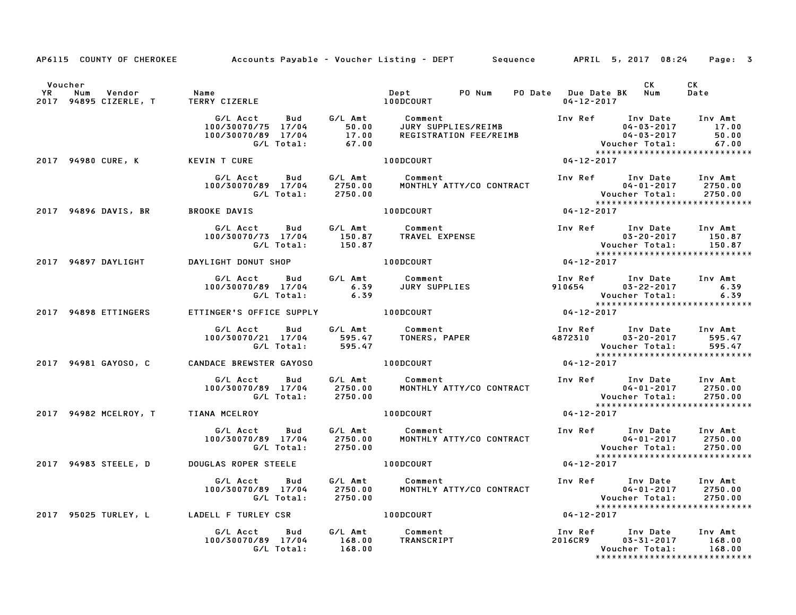|         |                                     |                                                             | AP6115 COUNTY OF CHEROKEE Accounts Payable - Voucher Listing - DEPT Sequence APRIL 5, 2017 08:24 Page: 3                                                                                                                                |                  |                                                                                                                 |                |
|---------|-------------------------------------|-------------------------------------------------------------|-----------------------------------------------------------------------------------------------------------------------------------------------------------------------------------------------------------------------------------------|------------------|-----------------------------------------------------------------------------------------------------------------|----------------|
| Voucher |                                     |                                                             |                                                                                                                                                                                                                                         |                  | CK                                                                                                              | CK<br>Date     |
|         |                                     |                                                             | G/L Acct Bud G/L Amt Comment Inv Ref Inv Date Inv Amt<br>100/30070/75 17/04 50.00 JURY SUPPLIES/REIMB 04-03-2017 17.00<br>100/30070/89 17/04 17.00 REGISTRATION FEE/REIMB 04-03-2017 50.00<br>G/L Total: 67.00 Woucher Total: 67.00     |                  | 04-03-2017 17.00                                                                                                | 50.00<br>67.00 |
|         | 2017 94980 CURE, K KEVIN T CURE     |                                                             | 100DCOURT                                                                                                                                                                                                                               | $04 - 12 - 2017$ | *****************************                                                                                   |                |
|         |                                     |                                                             | 6/L Acct Bud G/L Amt Comment Inv Ref Inv Date Inv Amt<br>100/30070/89 17/04 2750.00 MONTHLY ATTY/CO CONTRACT 04-01-2017 2750.00<br>6/L Total: 2750.00 MONTHLY ATTY/CO CONTRACT Voucher Total: 2750.00<br>****************************** |                  |                                                                                                                 |                |
|         | 2017 94896 DAVIS, BR BROOKE DAVIS   |                                                             | $04 - 12 - 2017$<br><b>100DCOURT</b>                                                                                                                                                                                                    |                  |                                                                                                                 |                |
|         |                                     |                                                             |                                                                                                                                                                                                                                         |                  | Inv Ref       Inv Date      Inv Amt<br>03-20-2017         150.87                                                |                |
|         |                                     | 2017 94897 DAYLIGHT DAYLIGHT DONUT SHOP                     | $100DCOURT$ 04-12-2017                                                                                                                                                                                                                  |                  |                                                                                                                 |                |
|         |                                     |                                                             | G/L Acct Bud G/L Amt Comment Inv Ref Inv Date Inv Amt<br>100/30070/89 17/04 6.39 JURY SUPPLIES 910654 03–22–2017 6.39<br>G/L Total: 6.39 910654 Voucher Total: 6.39                                                                     |                  | Voucher Total: 6.39<br>****************************                                                             |                |
|         | 2017 94898 ETTINGERS                |                                                             | ETTINGER'S OFFICE SUPPLY 100DCOURT                                                                                                                                                                                                      | $04 - 12 - 2017$ |                                                                                                                 |                |
|         |                                     |                                                             | G/L Acct Bud G/L Amt Comment Inv Ref Inv Date Inv Amt<br>100/30070/21 17/04 595.47 TONERS, PAPER 4872310 03-20-2017 595.47<br>6/L Total: 595.47 tones, paper                                                                            |                  | Voucher Total: 595.47<br>xxxxxxxxxxxxxxxxxxxxxxxxxxxxxxx                                                        |                |
|         |                                     | 2017 94981 GAYOSO, C CANDACE BREWSTER GAYOSO 100DCOURT      |                                                                                                                                                                                                                                         | $04 - 12 - 2017$ |                                                                                                                 |                |
|         |                                     |                                                             | G/L Acct Bud G/L Amt Comment Inv Ref Inv Date Inv Amt<br>100/30070/89 17/04 2750.00 MONTHLY ATTY/CO CONTRACT 04-01-2017 2750.00<br>G/L Total: 2750.00 MONTHLY ATTY/CO CONTRACT Voucher Total: 2750.00<br>****************************** |                  |                                                                                                                 |                |
|         | 2017 94982 MCELROY, T TIANA MCELROY |                                                             | 100DCOURT                                                                                                                                                                                                                               | $04 - 12 - 2017$ |                                                                                                                 |                |
|         |                                     |                                                             | G/L Acct Bud G/L Amt Comment Inv Ref Inv Date Inv Amt<br>100/30070/89 17/04 2750.00 MONTHLY ATTY/CO-CONTRACT 04-01-2017 2750.00<br>G/L Total: 2750.00 MONTHLY ATTY/CO-CONTRACT Voucher Total: 2750.00<br>****************************** |                  |                                                                                                                 |                |
|         |                                     | 2017 94983 STEELE, D DOUGLAS ROPER STEELE                   | <b>100DCOURT</b>                                                                                                                                                                                                                        | $04 - 12 - 2017$ |                                                                                                                 |                |
|         |                                     | G/L Acct<br>Bud<br>100/30070/89 17/04<br>G/L Total: 2750.00 |                                                                                                                                                                                                                                         |                  |                                                                                                                 |                |
|         |                                     |                                                             |                                                                                                                                                                                                                                         | $04 - 12 - 2017$ |                                                                                                                 |                |
|         |                                     |                                                             |                                                                                                                                                                                                                                         |                  | Inv Ref Inv Date Inv Amt<br>2016CR9 03–31–2017 168.00<br>Voucher Total: 168.00<br>***************************** |                |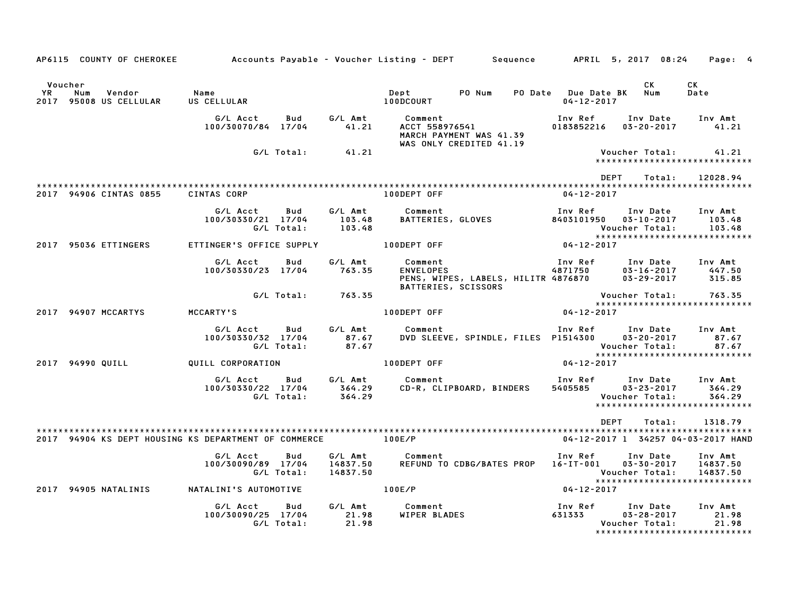|                      | AP6115 COUNTY OF CHEROKEE Accounts Payable - Voucher Listing - DEPT Sequence APRIL 5, 2017 08:24 |                                |                          |                                 |                         |                                                                      |                                         |                                                             | Page: 4                                                      |
|----------------------|--------------------------------------------------------------------------------------------------|--------------------------------|--------------------------|---------------------------------|-------------------------|----------------------------------------------------------------------|-----------------------------------------|-------------------------------------------------------------|--------------------------------------------------------------|
| Voucher<br><b>YR</b> | Num<br>Vendor<br>2017 95008 US CELLULAR                                                          | Name<br>US CELLULAR            |                          |                                 | Dept<br>100DCOURT       | PO Num                                                               | PO Date Due Date BK<br>$04 - 12 - 2017$ | CK<br>Num                                                   | CK<br>Date                                                   |
|                      |                                                                                                  | G/L Acct<br>100/30070/84 17/04 | Bud                      | G/L Amt<br>41.21                | Comment                 | ACCT 558976541<br>MARCH PAYMENT WAS 41.39<br>WAS ONLY CREDITED 41.19 | Inv Ref<br>0183852216                   | Inv Date<br>$03 - 20 - 2017$                                | Inv Amt<br>41.21                                             |
|                      |                                                                                                  |                                | G/L Total:               | 41.21                           |                         |                                                                      |                                         | Voucher Total:                                              | 41.21<br>*****************************                       |
|                      |                                                                                                  |                                |                          |                                 |                         |                                                                      |                                         | DEPT<br>Total:                                              | 12028.94                                                     |
|                      | 2017 94906 CINTAS 0855                                                                           | <b>CINTAS CORP</b>             |                          |                                 | 100DEPT OFF             |                                                                      | 04-12-2017                              |                                                             |                                                              |
|                      |                                                                                                  | G/L Acct<br>100/30330/21 17/04 | Bud<br>G/L Total:        | G/L Amt<br>103.48<br>103.48     | Comment                 | BATTERIES, GLOVES                                                    | Inv Ref<br>8403101950                   | Inv Date<br>$03 - 10 - 2017$<br>Voucher Total:              | Inv Amt<br>103.48<br>103.48                                  |
|                      | 2017 95036 ETTINGERS                                                                             | ETTINGER'S OFFICE SUPPLY       |                          |                                 | 100DEPT OFF             |                                                                      | $04 - 12 - 2017$                        |                                                             |                                                              |
|                      |                                                                                                  | G/L Acct<br>100/30330/23 17/04 | Bud                      | G/L Amt<br>763.35               | Comment                 | BATTERIES, SCISSORS                                                  | Inv Ref                                 | $03 - 16 - 2017$<br>$03 - 29 - 2017$                        | Inv Date Inv Amt<br>447.50<br>315.85                         |
|                      |                                                                                                  |                                | G/L Total:               | 763.35                          |                         |                                                                      |                                         | Voucher Total:                                              | 763.35                                                       |
|                      | 2017 94907 MCCARTYS                                                                              | MCCARTY'S                      |                          |                                 | 100DEPT OFF             |                                                                      | $04 - 12 - 2017$                        |                                                             | *****************************                                |
|                      |                                                                                                  | G/L Acct<br>100/30330/32 17/04 | <b>Bud</b><br>G/L Total: | G/L Amt<br>87.67<br>87.67       | Comment                 | DVD SLEEVE, SPINDLE, FILES P1514300                                  | Inv Ref                                 | Inv Date<br>$03 - 20 - 2017$<br>Voucher Total:              | Inv Amt<br>87.67<br>87.67<br>******************************  |
|                      | 2017 94990 QUILL                                                                                 | QUILL CORPORATION              |                          |                                 | 100DEPT OFF             |                                                                      | $04 - 12 - 2017$                        |                                                             |                                                              |
|                      |                                                                                                  | G/L Acct<br>100/30330/22 17/04 | Bud<br>G/L Total:        | G/L Amt<br>364.29<br>364.29     | Comment                 | CD-R, CLIPBOARD, BINDERS                                             | Inv Ref<br>5405585                      | Inv Date<br>$03 - 23 - 2017$<br>Voucher Total:              | Inv Amt<br>364.29<br>364.29<br>***************************** |
|                      |                                                                                                  |                                |                          |                                 |                         |                                                                      |                                         | DEPT<br>Total:                                              | 1318.79                                                      |
|                      |                                                                                                  |                                |                          |                                 |                         |                                                                      |                                         |                                                             | 04-12-2017 1 34257 04-03-2017 HAND                           |
|                      |                                                                                                  | G/L Acct<br>100/30090/89 17/04 | Bud<br>G/L Total:        | G/L Amt<br>14837.50<br>14837.50 | Comment                 | REFUND TO CDBG/BATES PROP 16-IT-001                                  |                                         | Inv Ref      Inv Date<br>$03 - 30 - 2017$<br>Voucher Total: | Inv Amt<br>14837.50<br>14837.50                              |
|                      | 2017 94905 NATALINIS                                                                             | NATALINI'S AUTOMOTIVE          |                          |                                 | 100E/P                  |                                                                      | 04-12-2017                              |                                                             |                                                              |
|                      |                                                                                                  | G/L Acct<br>100/30090/25 17/04 | Bud<br>G/L Total:        | G/L Amt<br>21.98<br>21.98       | Comment<br>WIPER BLADES |                                                                      | Inv Ref<br>631333                       | Inv Date<br>$03 - 28 - 2017$<br>Voucher Total:              | Inv Amt<br>21.98<br>21.98<br>*****************************   |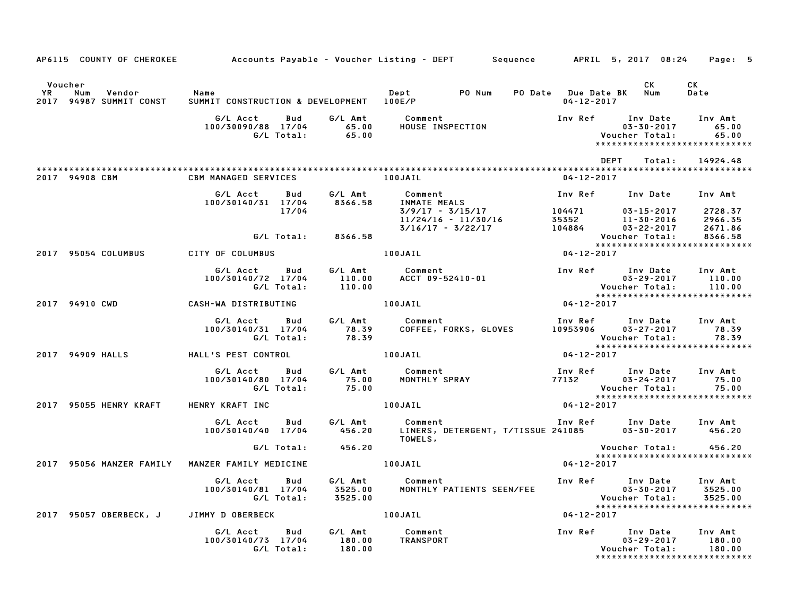|                   | AP6115 COUNTY OF CHEROKEE           |                                                  |                                    | Accounts Payable – Voucher Listing – DEPT         Sequence         APRIL  5, 2017  08:24     Page:  5                              |                                             |                                        |                                                                          |
|-------------------|-------------------------------------|--------------------------------------------------|------------------------------------|------------------------------------------------------------------------------------------------------------------------------------|---------------------------------------------|----------------------------------------|--------------------------------------------------------------------------|
|                   | Voucher                             |                                                  |                                    |                                                                                                                                    |                                             | CK                                     | CK                                                                       |
| <b>YR</b><br>2017 | Num<br>Vendor<br>94987 SUMMIT CONST | Name<br>SUMMIT CONSTRUCTION & DEVELOPMENT 100E/P |                                    | Dept PO Num                                                                                                                        | PO Date Due Date BK Num<br>$04 - 12 - 2017$ |                                        | Date                                                                     |
|                   |                                     | G/L Acct<br>100/30090/88 17/04<br>G/L Total:     | G/L Amt<br>Bud<br>65.00<br>65.00   | Comment<br>HOUSF المعد                                                                                                             | 05-30-2017<br>:Voucher Total                |                                        | Inv Amt<br>65.00<br>65.00<br>*****************************               |
|                   |                                     |                                                  |                                    |                                                                                                                                    | <b>DEPT</b>                                 | Total:                                 | 14924.48                                                                 |
|                   | 2017 94908 CBM                      | <b>CBM MANAGED SERVICES</b>                      |                                    | 100JAIL                                                                                                                            | $04 - 12 - 2017$                            |                                        |                                                                          |
|                   |                                     | G/L Acct<br>100/30140/31 17/04                   | G/L Amt<br>Bud<br>8366.58          | Comment<br><b>Symmetre</b><br>INMATE MEALS<br>3/9/17                                                                               | Inv Ref Inv Date                            |                                        | Inv Amt                                                                  |
|                   |                                     |                                                  | 17/04                              |                                                                                                                                    |                                             | 03-15-2017<br>11-30-2016<br>03-22-2017 | 2728.37<br>2966.35<br>2671.86                                            |
|                   |                                     |                                                  | G/L Total: 8366.58                 |                                                                                                                                    |                                             | Voucher Total:                         | 8366.58<br>*****************************                                 |
|                   | 2017 95054 COLUMBUS                 | CITY OF COLUMBUS                                 |                                    | 100JAIL                                                                                                                            | $04 - 12 - 2017$                            |                                        |                                                                          |
|                   |                                     | G/L Acct<br>100/30140/72 17/04<br>G/L Total:     | G/L Amt<br>Bud<br>110.00<br>110.00 | Comment<br>Comment 1nv Ref Inv Date Inv Amt 10.00<br>ACCT 09-52410-01 03-29-2017 110.00<br>03-29-2017 110.00<br>04-12-2017         |                                             |                                        |                                                                          |
|                   | 2017 94910 CWD                      | CASH-WA DISTRIBUTING                             |                                    | 100JAIL                                                                                                                            |                                             |                                        |                                                                          |
|                   |                                     | G/L Acct<br>100/30140/31 17/04<br>G/L Total:     | G/L Amt<br>Bud<br>78.39<br>78.39   | Comment                                Inv Ref        Inv Date<br>COFFEE, FORKS, GLOVES         10953906     03–27–2017<br>Comment |                                             |                                        | Inv Amt<br>78.39<br>Voucher Total: 78.39<br>**************************** |
|                   | 2017 94909 HALLS                    | HALL'S PEST CONTROL                              |                                    | 100JAIL                                                                                                                            | $04 - 12 - 2017$                            |                                        |                                                                          |
|                   |                                     | G/L Acct<br>100/30140/80 17/04<br>G/L Total:     | 75.00<br>75.00                     | Bud G/L Amt Comment                                                                                                                |                                             |                                        | Inv Amt<br>75.00<br>75.00                                                |
|                   | 2017 95055 HENRY KRAFT              | HENRY KRAFT INC                                  |                                    | 100JAIL                                                                                                                            | $04 - 12 - 2017$                            |                                        | *****************************                                            |
|                   |                                     | G/L Acct<br>100/30140/40 17/04                   | G∕L Amt<br><b>Bud</b>              | Comment<br>456.20 LINERS, DETERGENT, T/TISSUE 241085 03-30-2017<br>TOWELS,                                                         | Inv Ref Inv Date                            |                                        | Inv Amt<br>456.20                                                        |
|                   |                                     | G/L Total:                                       | 456.20                             |                                                                                                                                    |                                             | Voucher Total:                         | 456.20<br>*****************************                                  |
|                   |                                     | 2017 95056 MANZER FAMILY MANZER FAMILY MEDICINE  |                                    | 100JAIL                                                                                                                            | 04-12-2017                                  |                                        |                                                                          |
|                   |                                     | G/L Acct<br>100/30140/81 17/04<br>G/L Total:     | Bud<br>3525.00<br>3525.00          | G/L Amt Comment                                                                                                                    | Inv Ref Inv Date                            |                                        | Inv Amt<br>3525.00<br>3525.00                                            |
|                   | 2017 95057 OBERBECK, J              | JIMMY D OBERBECK                                 |                                    | 100JAIL                                                                                                                            | 04-12-2017                                  |                                        | *****************************                                            |
|                   |                                     | G/L Acct<br>100/30140/73 17/04<br>G/L Total:     | Bud<br>G/L Amt<br>180.00<br>180.00 | Comment<br>TRANSPORT                                                                                                               | Inv Ref      Inv Date                       | $03 - 29 - 2017$<br>Voucher Total:     | Inv Amt<br>180.00<br>180.00                                              |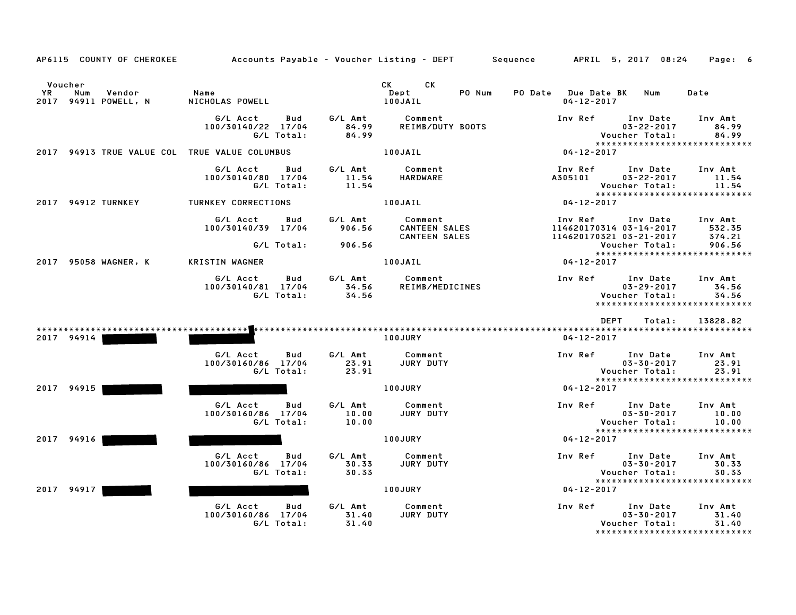| AP6115 COUNTY OF CHEROKEE                              | Accounts Payable – Voucher Listing – DEPT         Sequence |                           |                                                         | APRIL 5, 2017 08:24<br>Page: 6                                                                                                     |
|--------------------------------------------------------|------------------------------------------------------------|---------------------------|---------------------------------------------------------|------------------------------------------------------------------------------------------------------------------------------------|
| Voucher<br>YR<br>Vendor<br>Num<br>2017 94911 POWELL, N | Name<br>NICHOLAS POWELL                                    |                           | <b>CK</b><br>CK<br>PO Num<br>Dept<br>100JAIL            | <b>PO Date</b><br>Date<br><b>Due Date BK</b><br>Num<br>$04 - 12 - 2017$                                                            |
|                                                        | G/L Acct<br>Bud<br>100/30140/22 17/04<br>G/L Total:        | G/L Amt<br>84.99<br>84.99 | Comment<br>REIMB/DUTY BOOTS                             | Inv Ref<br>Inv Date<br>Inv Amt<br>$03 - 22 - 2017$<br>84.99<br>Voucher Total:<br>84.99<br>******************************           |
| 2017 94913 TRUE VALUE COL TRUE VALUE COLUMBUS          |                                                            |                           | 100JAIL                                                 | 04-12-2017                                                                                                                         |
|                                                        | G/L Acct<br>Bud<br>100/30140/80 17/04<br>G/L Total:        | G/L Amt<br>11.54<br>11.54 | Comment<br>HARDWARE                                     | Inv Ref<br>Inv Date<br>Inv Amt<br>$03 - 22 - 2017$<br>11.54<br>A305101<br>11.54<br>Voucher Total:<br>***************************** |
| 2017 94912 TURNKEY                                     | TURNKEY CORRECTIONS                                        |                           | 100JAIL                                                 | $04 - 12 - 2017$                                                                                                                   |
|                                                        | G/L Acct<br>Bud<br>100/30140/39 17/04                      | G/L Amt<br>906.56         | Comment<br><b>CANTEEN SALES</b><br><b>CANTEEN SALES</b> | Inv Amt<br>Inv Ref<br>Inv Date<br>114620170314 03-14-2017<br>532.35<br>114620170321 03-21-2017<br>374.21                           |
|                                                        | G/L Total:                                                 | 906.56                    |                                                         | 906.56<br>Voucher Total:<br>*****************************                                                                          |
| 2017 95058 WAGNER, K                                   | KRISTIN WAGNER                                             |                           | 100JAIL                                                 | $04 - 12 - 2017$                                                                                                                   |
|                                                        | G/L Acct<br>Bud<br>100/30140/81 17/04<br>G/L Total:        | G/L Amt<br>34.56<br>34.56 | Comment<br>REIMB/MEDICINES                              | Inv Ref<br>Inv Date<br>Inv Amt<br>$03 - 29 - 2017$<br>34.56<br>Voucher Total:<br>34.56<br>*****************************            |
|                                                        |                                                            |                           |                                                         | DEPT<br>13828.82<br>Total:                                                                                                         |
| 2017 94914                                             |                                                            |                           | 100JURY                                                 | $04 - 12 - 2017$                                                                                                                   |
|                                                        | G/L Acct<br>Bud<br>100/30160/86 17/04<br>G/L Total:        | G/L Amt<br>23.91<br>23.91 | Comment<br>JURY DUTY                                    | Inv Ref<br>Inv Date<br>Inv Amt<br>$03 - 30 - 2017$<br>23.91<br>23.91<br>Voucher Total:<br>*****************************            |
| 2017 94915                                             |                                                            |                           | 100JURY                                                 | $04 - 12 - 2017$                                                                                                                   |
|                                                        | G/L Acct<br>Bud<br>100/30160/86 17/04<br>G/L Total:        | G/L Amt<br>10.00<br>10.00 | Comment<br>JURY DUTY                                    | Inv Ref<br>Inv Date<br>Inv Amt<br>$03 - 30 - 2017$<br>10.00<br>Voucher Total:<br>10.00<br>*****************************            |
| 2017 94916                                             |                                                            |                           | <b>100JURY</b>                                          | $04 - 12 - 2017$                                                                                                                   |
|                                                        | G/L Acct<br>Bud<br>100/30160/86 17/04<br>G/L Total:        | G/L Amt<br>30.33<br>30.33 | Comment<br>JURY DUTY                                    | Inv Ref<br>Inv Date<br>Inv Amt<br>$03 - 30 - 2017$<br>30.33<br>Voucher Total:<br>30.33<br>*****************************            |
| 2017 94917                                             |                                                            |                           | 100JURY                                                 | 04-12-2017                                                                                                                         |
|                                                        | G/L Acct<br>Bud<br>100/30160/86 17/04<br>G/L Total:        | G/L Amt<br>31.40<br>31.40 | Comment<br>JURY DUTY                                    | Inv Ref<br>Inv Date<br>Inv Amt<br>$03 - 30 - 2017$<br>31.40<br>Voucher Total:<br>31.40<br>*****************************            |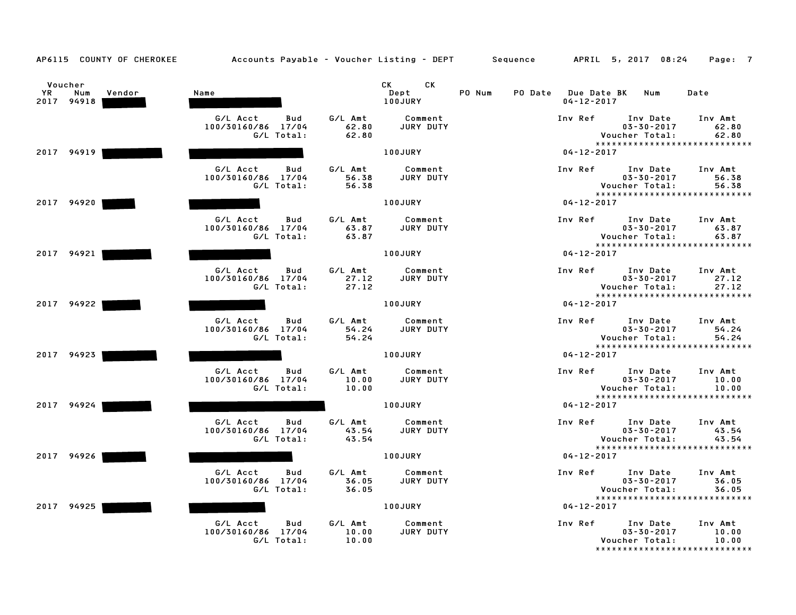| AP6115 COUNTY OF CHEROKEE                    | Accounts Payable – Voucher Listing – DEPT Sequence  |                           |                                                                                                                                                                                                                                                         |        |                                             | APRIL 5, 2017 08:24                            | Page: 7                                                    |
|----------------------------------------------|-----------------------------------------------------|---------------------------|---------------------------------------------------------------------------------------------------------------------------------------------------------------------------------------------------------------------------------------------------------|--------|---------------------------------------------|------------------------------------------------|------------------------------------------------------------|
| Voucher<br>YR<br>Num<br>Vendor<br>2017 94918 | Name                                                |                           | CK the control of the control of the control of the control of the control of the control of the control of the control of the control of the control of the control of the control of the control of the control of the contr<br>CK<br>Dept<br>100JURY | PO Num | PO Date Due Date BK Num<br>$04 - 12 - 2017$ |                                                | Date                                                       |
|                                              | G/L Acct<br>Bud<br>100/30160/86 17/04<br>G/L Total: | G/L Amt<br>62.80<br>62.80 | Comment<br>JURY DUTY                                                                                                                                                                                                                                    |        | Inv Ref                                     | Inv Date<br>$03 - 30 - 2017$<br>Voucher Total: | Inv Amt<br>62.80<br>62.80<br>***************************** |
| 2017 94919                                   |                                                     |                           | 100JURY                                                                                                                                                                                                                                                 |        | $04 - 12 - 2017$                            |                                                |                                                            |
|                                              | G/L Acct<br>Bud<br>100/30160/86 17/04<br>G/L Total: | G/L Amt<br>56.38<br>56.38 | Comment<br>JURY DUTY                                                                                                                                                                                                                                    |        | Inv Ref                                     | Inv Date<br>$03 - 30 - 2017$<br>Voucher Total: | Inv Amt<br>56.38<br>56.38<br>***************************** |
| 2017 94920                                   |                                                     |                           | 100JURY                                                                                                                                                                                                                                                 |        | $04 - 12 - 2017$                            |                                                |                                                            |
|                                              | G/L Acct<br>Bud<br>100/30160/86 17/04<br>G/L Total: | G/L Amt<br>63.87<br>63.87 | Comment<br>JURY DUTY                                                                                                                                                                                                                                    |        | Inv Ref                                     | Inv Date<br>$03 - 30 - 2017$<br>Voucher Total: | Inv Amt<br>63.87<br>63.87<br>***************************** |
| 2017 94921                                   |                                                     |                           | 100JURY                                                                                                                                                                                                                                                 |        | $04 - 12 - 2017$                            |                                                |                                                            |
|                                              | G/L Acct<br>Bud<br>100/30160/86 17/04<br>G/L Total: | G/L Amt<br>27.12<br>27.12 | Comment<br>JURY DUTY                                                                                                                                                                                                                                    |        | Inv Ref                                     | Inv Date<br>$03 - 30 - 2017$<br>Voucher Total: | Inv Amt<br>27.12<br>27.12<br>***************************** |
| 2017 94922                                   |                                                     |                           | 100JURY                                                                                                                                                                                                                                                 |        | $04 - 12 - 2017$                            |                                                |                                                            |
|                                              | G/L Acct<br>Bud<br>100/30160/86 17/04<br>G/L Total: | G/L Amt<br>54.24<br>54.24 | Comment<br>JURY DUTY                                                                                                                                                                                                                                    |        | Inv Ref                                     | Inv Date<br>$03 - 30 - 2017$<br>Voucher Total: | Inv Amt<br>54.24<br>54.24<br>***************************** |
| 2017 94923                                   |                                                     |                           | 100JURY                                                                                                                                                                                                                                                 |        | $04 - 12 - 2017$                            |                                                |                                                            |
|                                              | G/L Acct<br>Bud<br>100/30160/86 17/04<br>G/L Total: | G/L Amt<br>10.00<br>10.00 | Comment<br>JURY DUTY                                                                                                                                                                                                                                    |        | Inv Ref Inv Date                            | $03 - 30 - 2017$<br>Voucher Total:             | Inv Amt<br>10.00<br>10.00<br>***************************** |
| 2017 94924                                   |                                                     |                           | 100JURY                                                                                                                                                                                                                                                 |        | $04 - 12 - 2017$                            |                                                |                                                            |
|                                              | G/L Acct<br>Bud<br>100/30160/86 17/04<br>G/L Total: | G/L Amt<br>43.54<br>43.54 | Comment<br>JURY DUTY                                                                                                                                                                                                                                    |        | Inv Ref Inv Date                            | $03 - 30 - 2017$<br>Voucher Total:             | Inv Amt<br>43.54<br>43.54                                  |
| 2017 94926                                   |                                                     |                           | 100JURY                                                                                                                                                                                                                                                 |        | $04 - 12 - 2017$                            |                                                | *****************************                              |
|                                              | G/L Acct<br>Bud<br>100/30160/86 17/04<br>G/L Total: | G/L Amt<br>36.05<br>36.05 | Comment<br>JURY DUTY                                                                                                                                                                                                                                    |        | Inv Ref                                     | Inv Date<br>$03 - 30 - 2017$<br>Voucher Total: | Inv Amt<br>36.05<br>36.05<br>***************************** |
| 2017 94925                                   |                                                     |                           | 100JURY                                                                                                                                                                                                                                                 |        | $04 - 12 - 2017$                            |                                                |                                                            |
|                                              | G/L Acct<br>Bud<br>100/30160/86 17/04<br>G/L Total: | G/L Amt<br>10.00<br>10.00 | Comment<br>JURY DUTY                                                                                                                                                                                                                                    |        | Inv Ref                                     | Inv Date<br>$03 - 30 - 2017$<br>Voucher Total: | Inv Amt<br>10.00<br>10.00<br>***************************** |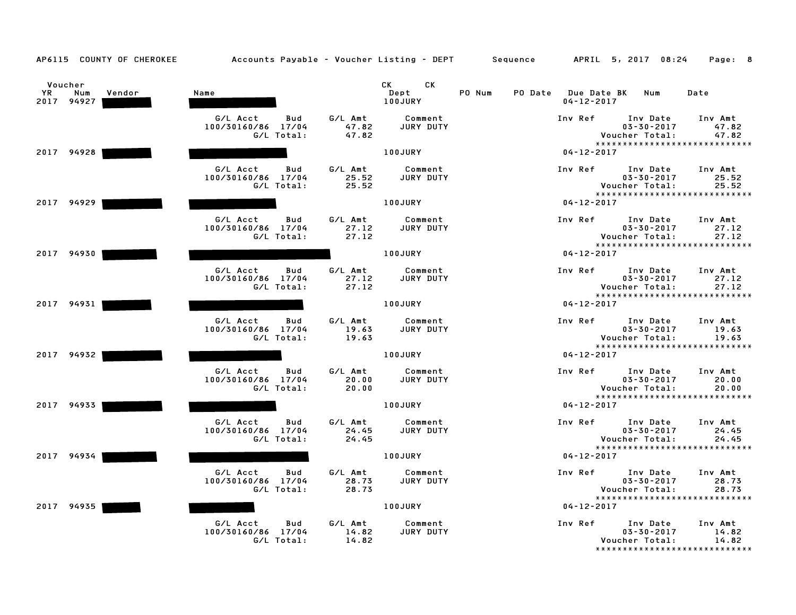| AP6115 COUNTY OF CHEROKEE                    | Accounts Payable – Voucher Listing – DEPT Sequence  |                           |                                                                                                                                                                                                                                                         |        |                                             | APRIL 5, 2017 08:24                            | Page: 8                                                      |
|----------------------------------------------|-----------------------------------------------------|---------------------------|---------------------------------------------------------------------------------------------------------------------------------------------------------------------------------------------------------------------------------------------------------|--------|---------------------------------------------|------------------------------------------------|--------------------------------------------------------------|
| Voucher<br>YR<br>Num<br>Vendor<br>2017 94927 | Name                                                |                           | CK and the set of the set of the set of the set of the set of the set of the set of the set of the set of the set of the set of the set of the set of the set of the set of the set of the set of the set of the set of the se<br>CK<br>Dept<br>100JURY | PO Num | PO Date Due Date BK Num<br>$04 - 12 - 2017$ |                                                | Date                                                         |
|                                              | Bud<br>G/L Acct<br>100/30160/86 17/04<br>G/L Total: | G/L Amt<br>47.82<br>47.82 | Comment<br>JURY DUTY                                                                                                                                                                                                                                    |        | Inv Ref                                     | Inv Date<br>$03 - 30 - 2017$<br>Voucher Total: | Inv Amt<br>47.82<br>47.82<br>*****************************   |
| 2017 94928                                   |                                                     |                           | 100JURY                                                                                                                                                                                                                                                 |        | $04 - 12 - 2017$                            |                                                |                                                              |
|                                              | G/L Acct<br>Bud<br>100/30160/86 17/04<br>G/L Total: | G/L Amt<br>25.52<br>25.52 | Comment<br>JURY DUTY                                                                                                                                                                                                                                    |        | Inv Ref                                     | Inv Date<br>$03 - 30 - 2017$<br>Voucher Total: | Inv Amt<br>25.52<br>25.52<br>*****************************   |
| 2017 94929                                   |                                                     |                           | 100JURY                                                                                                                                                                                                                                                 |        | $04 - 12 - 2017$                            |                                                |                                                              |
|                                              | G/L Acct<br>Bud<br>100/30160/86 17/04<br>G/L Total: | G/L Amt<br>27.12<br>27.12 | Comment<br>JURY DUTY                                                                                                                                                                                                                                    |        | Inv Ref                                     | Inv Date<br>$03 - 30 - 2017$<br>Voucher Total: | Inv Amt<br>27.12<br>27.12                                    |
| 2017 94930                                   |                                                     |                           | 100JURY                                                                                                                                                                                                                                                 |        | $04 - 12 - 2017$                            |                                                | *****************************                                |
|                                              | G/L Acct<br>Bud<br>100/30160/86 17/04<br>G/L Total: | G/L Amt<br>27.12<br>27.12 | Comment<br>JURY DUTY                                                                                                                                                                                                                                    |        | Inv Ref                                     | Inv Date<br>$03 - 30 - 2017$<br>Voucher Total: | Inv Amt<br>27.12<br>27.12<br>*****************************   |
| 2017 94931                                   |                                                     |                           | 100JURY                                                                                                                                                                                                                                                 |        | $04 - 12 - 2017$                            |                                                |                                                              |
|                                              | G/L Acct<br>Bud<br>100/30160/86 17/04<br>G/L Total: | G/L Amt<br>19.63<br>19.63 | Comment<br>JURY DUTY                                                                                                                                                                                                                                    |        | Inv Ref                                     | Inv Date<br>$03 - 30 - 2017$<br>Voucher Total: | Inv Amt<br>19.63<br>19.63<br>*****************************   |
| 2017 94932                                   |                                                     |                           | 100JURY                                                                                                                                                                                                                                                 |        | $04 - 12 - 2017$                            |                                                |                                                              |
|                                              | G/L Acct<br>Bud<br>100/30160/86 17/04<br>G/L Total: | G/L Amt<br>20.00<br>20.00 | Comment<br>JURY DUTY                                                                                                                                                                                                                                    |        | Inv Ref Inv Date                            | $03 - 30 - 2017$<br>Voucher Total:             | Inv Amt<br>20.00<br>20.00<br>*****************************   |
| 2017 94933                                   |                                                     |                           | 100JURY                                                                                                                                                                                                                                                 |        | $04 - 12 - 2017$                            |                                                |                                                              |
|                                              | G/L Acct<br>Bud<br>100/30160/86 17/04<br>G/L Total: | G/L Amt<br>24.45<br>24.45 | Comment<br>JURY DUTY                                                                                                                                                                                                                                    |        | Inv Ref                                     | Inv Date<br>$03 - 30 - 2017$<br>Voucher Total: | Inv Amt<br>24.45<br>24.45                                    |
| 2017 94934                                   |                                                     |                           | 100JURY                                                                                                                                                                                                                                                 |        | $04 - 12 - 2017$                            |                                                | *****************************                                |
|                                              | G/L Acct<br>Bud<br>100/30160/86 17/04<br>G/L Total: | G/L Amt<br>28.73<br>28.73 | Comment<br>JURY DUTY                                                                                                                                                                                                                                    |        | Inv Ref                                     | Inv Date<br>$03 - 30 - 2017$<br>Voucher Total: | Inv Amt<br>28.73<br>28.73<br>*****************************   |
| 2017<br>94935                                |                                                     |                           | 100JURY                                                                                                                                                                                                                                                 |        | $04 - 12 - 2017$                            |                                                |                                                              |
|                                              | G/L Acct<br>Bud<br>100/30160/86 17/04<br>G/L Total: | G/L Amt<br>14.82<br>14.82 | Comment<br>JURY DUTY                                                                                                                                                                                                                                    |        | Inv Ref                                     | Inv Date<br>$03 - 30 - 2017$<br>Voucher Total: | Inv Amt<br>14.82<br>14.82<br>******************************* |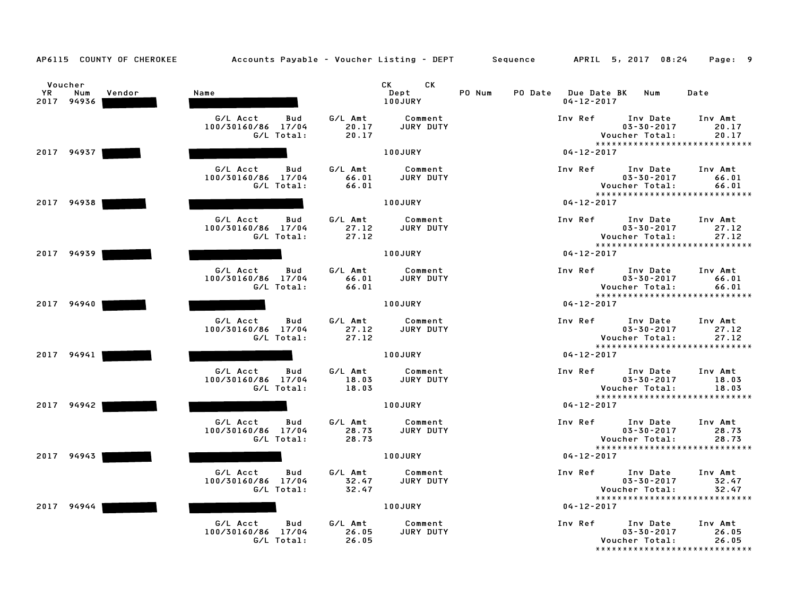| AP6115 COUNTY OF CHEROKEE                     | Accounts Payable - Voucher Listing - DEPT           |                           |                                                                                                                                                                                                                                                          | Sequence |                  | APRIL 5, 2017 08:24                                                                      | Page: 9                   |
|-----------------------------------------------|-----------------------------------------------------|---------------------------|----------------------------------------------------------------------------------------------------------------------------------------------------------------------------------------------------------------------------------------------------------|----------|------------------|------------------------------------------------------------------------------------------|---------------------------|
| Voucher<br>YR.<br>Num<br>Vendor<br>2017 94936 | Name                                                |                           | CK.<br>CK and the control of the control of the control of the control of the control of the control of the control of the control of the control of the control of the control of the control of the control of the control of the c<br>Dept<br>100JURY | PO Num   | $04 - 12 - 2017$ | PO Date Due Date BK Num                                                                  | Date                      |
|                                               | G/L Acct<br>Bud<br>100/30160/86 17/04<br>G/L Total: | G/L Amt<br>20.17<br>20.17 | Comment<br>JURY DUTY                                                                                                                                                                                                                                     |          | Inv Ref          | Inv Date<br>$03 - 30 - 2017$<br>Voucher Total:<br>*****************************          | Inv Amt<br>20.17<br>20.17 |
| 2017 94937                                    |                                                     |                           | 100JURY                                                                                                                                                                                                                                                  |          | $04 - 12 - 2017$ |                                                                                          |                           |
|                                               | G/L Acct<br>Bud<br>100/30160/86 17/04<br>G/L Total: | G/L Amt<br>66.01<br>66.01 | Comment<br><b>JURY DUTY</b>                                                                                                                                                                                                                              |          | Inv Ref          | Inv Date<br>$03 - 30 - 2017$<br>Voucher Total:<br>*****************************          | Inv Amt<br>66.01<br>66.01 |
| 2017 94938                                    |                                                     |                           | 100JURY                                                                                                                                                                                                                                                  |          | $04 - 12 - 2017$ |                                                                                          |                           |
|                                               | G/L Acct<br>Bud<br>100/30160/86 17/04<br>G/L Total: | G/L Amt<br>27.12<br>27.12 | Comment<br>JURY DUTY                                                                                                                                                                                                                                     |          | Inv Ref          | Inv Date<br>$03 - 30 - 2017$<br>Voucher Total:<br>*****************************          | Inv Amt<br>27.12<br>27.12 |
| 2017 94939                                    |                                                     |                           | 100JURY                                                                                                                                                                                                                                                  |          | $04 - 12 - 2017$ |                                                                                          |                           |
|                                               | G/L Acct<br>Bud<br>100/30160/86 17/04<br>G/L Total: | G/L Amt<br>66.01<br>66.01 | Comment<br>JURY DUTY                                                                                                                                                                                                                                     |          | Inv Ref          | Inv Date<br>$03 - 30 - 2017$<br>Voucher Total:<br>*****************************          | Inv Amt<br>66.01<br>66.01 |
| 2017 94940                                    |                                                     |                           | 100JURY                                                                                                                                                                                                                                                  |          | $04 - 12 - 2017$ |                                                                                          |                           |
|                                               | G/L Acct<br>Bud<br>100/30160/86 17/04<br>G/L Total: | G/L Amt<br>27.12<br>27.12 | Comment<br><b>JURY DUTY</b>                                                                                                                                                                                                                              |          | Inv Ref          | Inv Date<br>$03 - 30 - 2017$<br>Voucher Total:<br>*****************************          | Inv Amt<br>27.12<br>27.12 |
| 2017 94941                                    |                                                     |                           | <b>100JURY</b>                                                                                                                                                                                                                                           |          | $04 - 12 - 2017$ |                                                                                          |                           |
|                                               | G/L Acct<br>Bud<br>100/30160/86 17/04<br>G/L Total: | G/L Amt<br>18.03<br>18.03 | Comment<br>JURY DUTY                                                                                                                                                                                                                                     |          |                  | Inv Ref Inv Date<br>$03 - 30 - 2017$<br>Voucher Total:<br>****************************** | Inv Amt<br>18.03<br>18.03 |
| 2017 94942                                    |                                                     |                           | 100JURY                                                                                                                                                                                                                                                  |          | $04 - 12 - 2017$ |                                                                                          |                           |
|                                               | G/L Acct<br>Bud<br>100/30160/86 17/04<br>G/L Total: | G/L Amt<br>28.73<br>28.73 | Comment<br><b>JURY DUTY</b>                                                                                                                                                                                                                              |          | Inv Ref          | Inv Date<br>$03 - 30 - 2017$<br>Voucher Total:                                           | Inv Amt<br>28.73<br>28.73 |
| 2017 94943                                    |                                                     |                           | 100JURY                                                                                                                                                                                                                                                  |          | $04 - 12 - 2017$ | *****************************                                                            |                           |
|                                               | G/L Acct<br>Bud<br>100/30160/86 17/04<br>G/L Total: | G/L Amt<br>32.47<br>32.47 | Comment<br>JURY DUTY                                                                                                                                                                                                                                     |          | Inv Ref          | Inv Date<br>$03 - 30 - 2017$<br>Voucher Total:<br>*****************************          | Inv Amt<br>32.47<br>32.47 |
| 2017 94944                                    |                                                     |                           | 100JURY                                                                                                                                                                                                                                                  |          | $04 - 12 - 2017$ |                                                                                          |                           |
|                                               | G/L Acct<br>Bud<br>100/30160/86 17/04<br>G/L Total: | G/L Amt<br>26.05<br>26.05 | Comment<br>JURY DUTY                                                                                                                                                                                                                                     |          | Inv Ref          | Inv Date<br>$03 - 30 - 2017$<br>Voucher Total:<br>*****************************          | Inv Amt<br>26.05<br>26.05 |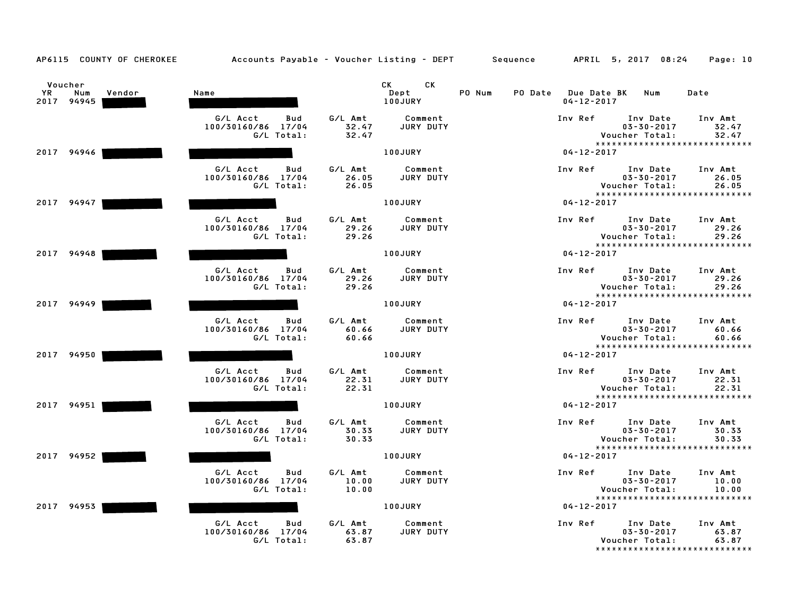| AP6115 COUNTY OF CHEROKEE                           | Accounts Payable – Voucher Listing – DEPT       Sequence |                           |                              |        |                                             | APRIL 5, 2017 08:24                                                              | Page: 10                  |
|-----------------------------------------------------|----------------------------------------------------------|---------------------------|------------------------------|--------|---------------------------------------------|----------------------------------------------------------------------------------|---------------------------|
| Voucher<br><b>YR</b><br>Num<br>Vendor<br>2017 94945 | Name                                                     |                           | CK.<br>CK<br>Dept<br>100JURY | PO Num | PO Date Due Date BK Num<br>$04 - 12 - 2017$ |                                                                                  | Date                      |
|                                                     | G/L Acct<br>Bud<br>100/30160/86 17/04<br>G/L Total:      | G/L Amt<br>32.47<br>32.47 | Comment<br>JURY DUTY         |        | Inv Ref                                     | Inv Date<br>$03 - 30 - 2017$<br>Voucher Total:<br>*****************************  | Inv Amt<br>32.47<br>32.47 |
| 2017 94946                                          |                                                          |                           | 100JURY                      |        | $04 - 12 - 2017$                            |                                                                                  |                           |
|                                                     | G/L Acct<br>Bud<br>100/30160/86 17/04<br>G/L Total:      | G/L Amt<br>26.05<br>26.05 | Comment<br><b>JURY DUTY</b>  |        | Inv Ref                                     | Inv Date<br>$03 - 30 - 2017$<br>Voucher Total:<br>*****************************  | Inv Amt<br>26.05<br>26.05 |
| 2017 94947                                          |                                                          |                           | 100JURY                      |        | $04 - 12 - 2017$                            |                                                                                  |                           |
|                                                     | G/L Acct<br>Bud<br>100/30160/86 17/04<br>G/L Total:      | G/L Amt<br>29.26<br>29.26 | Comment<br>JURY DUTY         |        | Inv Ref                                     | Inv Date<br>$03 - 30 - 2017$<br>Voucher Total:<br>*****************************  | Inv Amt<br>29.26<br>29.26 |
| 2017 94948                                          |                                                          |                           | 100JURY                      |        | $04 - 12 - 2017$                            |                                                                                  |                           |
|                                                     | G/L Acct<br>Bud<br>100/30160/86 17/04<br>G/L Total:      | G/L Amt<br>29.26<br>29.26 | Comment<br>JURY DUTY         |        | Inv Ref                                     | Inv Date<br>$03 - 30 - 2017$<br>Voucher Total:<br>****************************** | Inv Amt<br>29.26<br>29.26 |
| 2017 94949                                          |                                                          |                           | <b>100JURY</b>               |        | $04 - 12 - 2017$                            |                                                                                  |                           |
|                                                     | G/L Acct<br>Bud<br>100/30160/86 17/04<br>G/L Total:      | G/L Amt<br>60.66<br>60.66 | Comment<br>JURY DUTY         |        | Inv Ref                                     | Inv Date<br>$03 - 30 - 2017$<br>Voucher Total:<br>*****************************  | Inv Amt<br>60.66<br>60.66 |
| 2017 94950                                          |                                                          |                           | 100JURY                      |        | $04 - 12 - 2017$                            |                                                                                  |                           |
|                                                     | G/L Acct<br>Bud<br>100/30160/86 17/04<br>G/L Total:      | G/L Amt<br>22.31<br>22.31 | Comment<br>JURY DUTY         |        | Inv Ref                                     | Inv Date<br>$03 - 30 - 2017$<br>Voucher Total:<br>*****************************  | Inv Amt<br>22.31<br>22.31 |
| 2017 94951                                          |                                                          |                           | 100JURY                      |        | $04 - 12 - 2017$                            |                                                                                  |                           |
|                                                     | G/L Acct<br>Bud<br>100/30160/86 17/04<br>G/L Total:      | G/L Amt<br>30.33<br>30.33 | Comment<br><b>JURY DUTY</b>  |        | Inv Ref                                     | Inv Date<br>$03 - 30 - 2017$<br>Voucher Total:                                   | Inv Amt<br>30.33<br>30.33 |
| 2017 94952                                          |                                                          |                           | 100JURY                      |        | $04 - 12 - 2017$                            | *****************************                                                    |                           |
|                                                     | G/L Acct<br>Bud<br>100/30160/86 17/04<br>G/L Total:      | G/L Amt<br>10.00<br>10.00 | Comment<br>JURY DUTY         |        | Inv Ref                                     | Inv Date<br>$03 - 30 - 2017$<br>Voucher Total:<br>*****************************  | Inv Amt<br>10.00<br>10.00 |
| 2017<br>94953                                       |                                                          |                           | 100JURY                      |        | $04 - 12 - 2017$                            |                                                                                  |                           |
|                                                     | G/L Acct<br>Bud<br>100/30160/86 17/04<br>G/L Total:      | G/L Amt<br>63.87<br>63.87 | Comment<br>JURY DUTY         |        | Inv Ref                                     | Inv Date<br>$03 - 30 - 2017$<br>Voucher Total:                                   | Inv Amt<br>63.87<br>63.87 |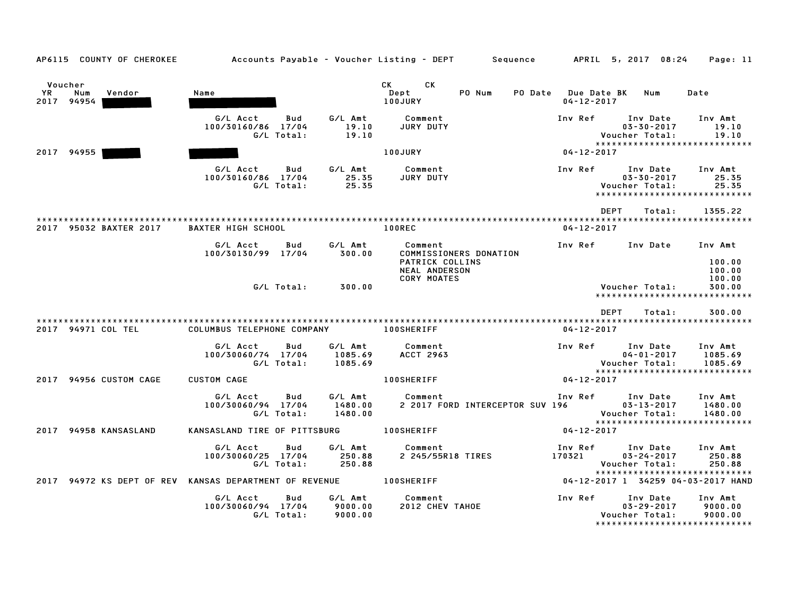| AP6115 COUNTY OF CHEROKEE                                         |                                                     |                               | Accounts Payable – Voucher Listing – DEPT         Sequence                   |                                         | APRIL 5, 2017 08:24                                                                     | Page: 11                      |
|-------------------------------------------------------------------|-----------------------------------------------------|-------------------------------|------------------------------------------------------------------------------|-----------------------------------------|-----------------------------------------------------------------------------------------|-------------------------------|
| Voucher<br><b>YR</b><br>Num<br>Vendor<br>2017 94954               | Name                                                |                               | CK CK<br>PO Num<br>Dept<br>100JURY                                           | PO Date Due Date BK<br>$04 - 12 - 2017$ | Num                                                                                     | Date                          |
|                                                                   | G/L Acct<br>Bud<br>100/30160/86 17/04<br>G/L Total: | G/L Amt<br>19.10<br>19.10     | Comment<br>JURY DUTY                                                         | Inv Ref                                 | Inv Date<br>$03 - 30 - 2017$<br>Voucher Total:<br>*****************************         | Inv Amt<br>19.10<br>19.10     |
| 2017 94955                                                        |                                                     |                               | <b>100JURY</b>                                                               | 04-12-2017                              |                                                                                         |                               |
|                                                                   | G/L Acct<br>Bud<br>100/30160/86 17/04<br>G/L Total: | G/L Amt<br>25.35<br>25.35     | Comment<br>JURY DUTY                                                         | Inv Ref                                 | Inv Date<br>$03 - 30 - 2017$<br>Voucher Total:<br>*****************************         | Inv Amt<br>25.35<br>25.35     |
|                                                                   |                                                     |                               |                                                                              |                                         | <b>DEPT</b><br>Total:                                                                   | 1355.22                       |
| 2017 95032 BAXTER 2017                                            | <b>BAXTER HIGH SCHOOL</b>                           |                               | <b>100REC</b>                                                                | $04 - 12 - 2017$                        |                                                                                         |                               |
|                                                                   | G/L Acct<br>Bud<br>100/30130/99 17/04               | G/L Amt<br>300.00             | Comment<br>COMMISSIONERS DONATION<br>PATRICK COLLINS<br><b>NEAL ANDERSON</b> | Inv Ref                                 | Inv Date                                                                                | Inv Amt<br>100.00<br>100.00   |
|                                                                   | G/L Total:                                          | 300.00                        | <b>CORY MOATES</b>                                                           |                                         | Voucher Total:<br>*****************************                                         | 100.00<br>300.00              |
|                                                                   |                                                     |                               |                                                                              |                                         | <b>DEPT</b><br>Total:                                                                   | 300.00                        |
| 2017 94971 COL TEL                                                | COLUMBUS TELEPHONE COMPANY                          |                               | 100SHERIFF                                                                   | $04 - 12 - 2017$                        |                                                                                         |                               |
|                                                                   | G/L Acct<br>Bud<br>100/30060/74 17/04<br>G/L Total: | G/L Amt<br>1085.69<br>1085.69 | Comment<br><b>ACCT 2963</b>                                                  | Inv Ref                                 | Inv Date<br>$04 - 01 - 2017$<br>Voucher Total:                                          | Inv Amt<br>1085.69<br>1085.69 |
| 2017 94956 CUSTOM CAGE                                            | <b>CUSTOM CAGE</b>                                  |                               | <b>100SHERIFF</b>                                                            | 04-12-2017                              | ******************************                                                          |                               |
|                                                                   | G/L Acct<br>Bud<br>100/30060/94 17/04<br>G/L Total: | G/L Amt<br>1480.00<br>1480.00 | Comment<br>2 2017 FORD INTERCEPTOR SUV 196                                   |                                         | Inv Ref Inv Date<br>$03 - 13 - 2017$<br>Voucher Total:<br>***************************** | Inv Amt<br>1480.00<br>1480.00 |
| 2017 94958 KANSASLAND                                             | KANSASLAND TIRE OF PITTSBURG 100SHERIFF             |                               |                                                                              | 04-12-2017                              |                                                                                         |                               |
|                                                                   | G/L Acct<br>Bud<br>100/30060/25 17/04<br>G/L Total: | G/L Amt<br>250.88<br>250.88   | Comment<br>2 245/55R18 TIRES                                                 | 170321                                  | Inv Ref Inv Date<br>$03 - 24 - 2017$<br>Voucher Total:<br>***************************** | Inv Amt<br>250.88<br>250.88   |
| 2017 94972 KS DEPT OF REV KANSAS DEPARTMENT OF REVENUE 100SHERIFF |                                                     |                               |                                                                              |                                         | 04-12-2017 1 34259 04-03-2017 HAND                                                      |                               |
|                                                                   | G/L Acct<br>Bud<br>100/30060/94 17/04<br>G/L Total: | G/L Amt<br>9000.00<br>9000.00 | Comment<br>2012 CHEV TAHOE                                                   | Inv Ref                                 | Inv Date<br>$03 - 29 - 2017$<br>Voucher Total:<br>********************************      | Inv Amt<br>9000.00<br>9000.00 |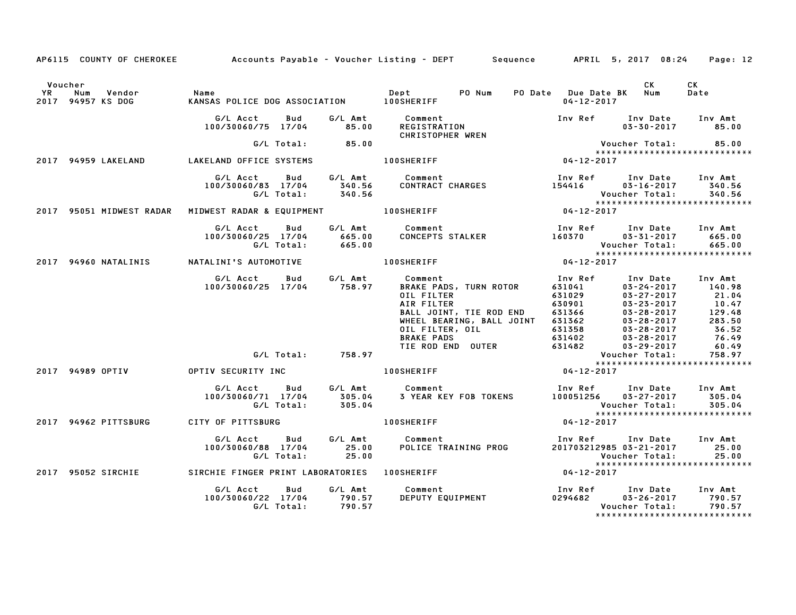|    |                                               |                                                                   |                             | AP6115 COUNTY OF CHEROKEE Accounts Payable - Voucher Listing - DEPT Sequence APRIL 5, 2017 08:24                                                                                                                                    |                                                                                                     |                                                                                                                                                                    | Page: 12                                                                           |
|----|-----------------------------------------------|-------------------------------------------------------------------|-----------------------------|-------------------------------------------------------------------------------------------------------------------------------------------------------------------------------------------------------------------------------------|-----------------------------------------------------------------------------------------------------|--------------------------------------------------------------------------------------------------------------------------------------------------------------------|------------------------------------------------------------------------------------|
| YR | Voucher<br>Num<br>Vendor<br>2017 94957 KS DOG | Name                                                              |                             | PO Num                                                                                                                                                                                                                              | PO Date Due Date BK Num<br>$04 - 12 - 2017$                                                         | <b>CK</b>                                                                                                                                                          | CK.<br>Date                                                                        |
|    |                                               | G/L Acct<br>Bud<br>100/30060/75 17/04                             | 85.00                       | G/L Amt Comment<br>Comment<br>REGISTRATION<br>CHRISTOPHER WREN MERRER MANUS AREXAN MANUSION MANUSION MANUSION MANUSION MANUSION MANUSION MANUSION MANUSION                                                                          |                                                                                                     | Inv Ref Inv Date Inv Amt                                                                                                                                           |                                                                                    |
|    |                                               |                                                                   | $G/L$ Total: 85.00          |                                                                                                                                                                                                                                     |                                                                                                     |                                                                                                                                                                    |                                                                                    |
|    | 2017 94959 LAKELAND                           | LAKELAND OFFICE SYSTEMS                                           |                             | <b>100SHERIFF</b>                                                                                                                                                                                                                   |                                                                                                     | *****************************                                                                                                                                      |                                                                                    |
|    |                                               | G/L Acct<br><b>Bud</b><br>100/30060/83 17/04<br>G/L Total:        | 340.56<br>340.56            | G/L Amt Comment<br>340.56 CONTRACT<br>COMMENT<br>CONTRACT CHARGES                                                                                                                                                                   | 154416                                                                                              | Inv Ref      Inv Date<br>03-16-2017<br>Voucher Total:<br>*****************************                                                                             | Inv Amt<br>340.56<br>340.56                                                        |
|    | 2017 95051 MIDWEST RADAR                      | MIDWEST RADAR & EQUIPMENT                                         |                             | $04 - 12 - 2017$<br><b>100SHERIFF</b>                                                                                                                                                                                               |                                                                                                     |                                                                                                                                                                    |                                                                                    |
|    |                                               | G/L Acct<br>Bud<br>100/30060/25 17/04<br>G/L Total:               | $665.00$<br>$665.00$        | G/L Amt Comment<br>Comment<br>CONCEPTS STALKER                                                                                                                                                                                      | 160370                                                                                              | Inv Ref      Inv Date<br>$03 - 31 - 2017$<br>Voucher Total:<br>******************************                                                                      | Inv Amt<br>665.00<br>665.00                                                        |
|    | 2017 94960 NATALINIS                          | NATALINI'S AUTOMOTIVE                                             |                             | <b>100SHERIFF</b>                                                                                                                                                                                                                   | $04 - 12 - 2017$                                                                                    |                                                                                                                                                                    |                                                                                    |
|    |                                               | G/L Acct<br><b>Bud</b><br>100/30060/25 17/04 758.97               |                             | G/L Amt Comment<br>BRAKE PADS, TURN ROTOR<br>OIL FILTER<br>AIR FILTER<br>BALL JOINT, TIE ROD END<br>BALL JOINT, TIE ROD END<br>WHEEL BEARING, BALL JOINT<br>OIL FILTER, OIL<br><b>BRAKE PADS</b><br>BRAKE PADS<br>TIE ROD END OUTER | Inv Ref<br>631041<br><b>631029<br/>630901<br/>631366<br/>631358<br/>631402<br/>631402</b><br>631482 | Inv Date<br>$03 - 24 - 2017$<br>$03 - 27 - 2017$<br>$03 - 23 - 2017$<br>$03 - 28 - 2017$<br>$03 - 28 - 2017$<br>03-28-2017<br>$03 - 28 - 2017$<br>$03 - 29 - 2017$ | Inv Amt<br>140.98<br>21.04<br>10.47<br>129.48<br>283.50<br>36.52<br>76.49<br>60.49 |
|    |                                               |                                                                   | G/L Total: 758.97           |                                                                                                                                                                                                                                     |                                                                                                     | Voucher Total:<br>******************************                                                                                                                   | 758.97                                                                             |
|    | 2017 94989 OPTIV                              | OPTIV SECURITY INC                                                |                             | <b>100SHERIFF</b>                                                                                                                                                                                                                   | $04 - 12 - 2017$                                                                                    |                                                                                                                                                                    |                                                                                    |
|    |                                               | G/L Acct<br>Bud<br>100/30060/71 17/04<br>G/L Total:               | G/L Amt<br>305.04<br>305.04 | Comment<br>3 YEAR KEY FOB TOKENS                                                                                                                                                                                                    | 100051256                                                                                           | Inv Ref     Inv Date<br>$03 - 27 - 2017$<br>Voucher Total:<br>*****************************                                                                        | Inv Amt<br>305.04<br>305.04                                                        |
|    | 2017 94962 PITTSBURG                          | CITY OF PITTSBURG                                                 |                             | <b>100SHERIFF</b>                                                                                                                                                                                                                   | $04 - 12 - 2017$                                                                                    |                                                                                                                                                                    |                                                                                    |
|    |                                               | G/L Acct<br>Bud<br>100/30060/88 17/04<br>G/L Total:               | G/L Amt<br>25.00<br>25.00   | Comment<br><b>COMMENT</b><br>POLICE TRAINING PROG                                                                                                                                                                                   | Inv Ref                                                                                             | Inv Date<br>201703212985 03-21-2017<br>Voucher Total:<br>*****************************                                                                             | Inv Amt<br>25.00<br>25.00                                                          |
|    |                                               | 2017 95052 SIRCHIE SIRCHIE FINGER PRINT LABORATORIES 100SHERIFF   |                             |                                                                                                                                                                                                                                     | $04 - 12 - 2017$                                                                                    |                                                                                                                                                                    |                                                                                    |
|    |                                               | G/L Acct<br><b>Bud</b><br>100/30060/22 17/04 790.57<br>G/L Total: | G/L Amt<br>790.57           | Comment<br>ιomment<br>DEPUTY EQUIPMENT                                                                                                                                                                                              | 0294682                                                                                             | Inv Ref      Inv Date<br>$03 - 26 - 2017$<br>Voucher Total:                                                                                                        | Inv Amt<br>790.57<br>790.57                                                        |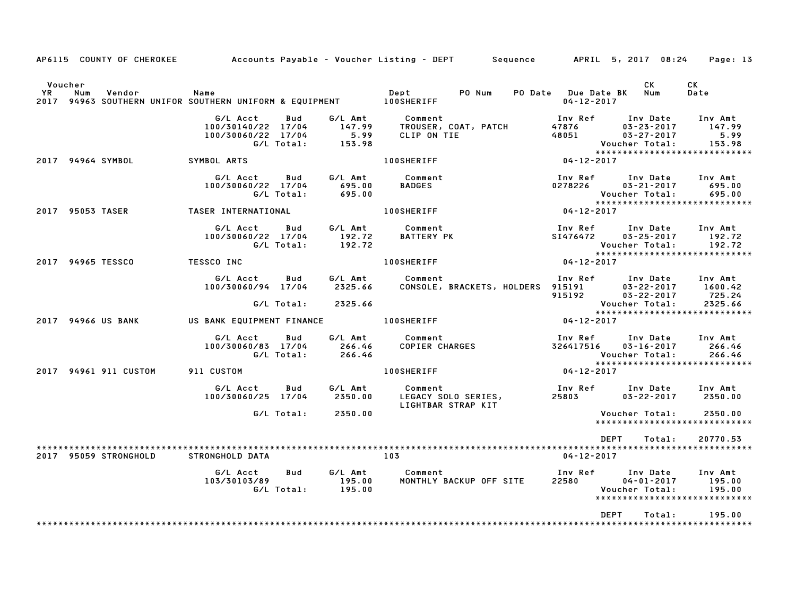|         |                  |                       | AP6115 COUNTY OF CHEROKEE Accounts Payable - Voucher Listing - DEPT Sequence APRIL 5, 2017 08:24 |                   |                                 |                                                  |                                                      |                  |                                                             | Page: 13                                                                      |  |
|---------|------------------|-----------------------|--------------------------------------------------------------------------------------------------|-------------------|---------------------------------|--------------------------------------------------|------------------------------------------------------|------------------|-------------------------------------------------------------|-------------------------------------------------------------------------------|--|
| Voucher |                  |                       | YR Num Vendor – Name<br>2017 94963 SOUTHERN UNIFOR SOUTHERN UNIFORM & EQUIPMENT – 100SHERIFF     |                   |                                 |                                                  | PO Num                                               | $04 - 12 - 2017$ | CK<br>PO Date Due Date BK Num                               | CK<br>Date                                                                    |  |
|         |                  |                       | G/L Acct<br>100/30140/22 17/04<br>100/30060/22 17/04                                             | Bud<br>G/L Total: |                                 |                                                  |                                                      |                  |                                                             | Inv Amt<br>147.99<br>5.99<br>153.98                                           |  |
|         |                  | 2017 94964 SYMBOL     | <b>SYMBOL ARTS</b>                                                                               |                   |                                 | <b>100SHERIFF</b>                                |                                                      | $04 - 12 - 2017$ |                                                             |                                                                               |  |
|         |                  |                       | G/L Acct<br>100/30060/22 17/04                                                                   | G/L Total:        | Bud G/L Amt<br>695.00<br>695.00 | Comment<br><b>BADGES</b>                         |                                                      | 0278226          | $03 - 21 - 2017$<br>Voucher Total:                          | Inv Ref Inv Date Inv Amt<br>695.00<br>695.00<br>***************************** |  |
|         | 2017 95053 TASER |                       | TASER INTERNATIONAL                                                                              |                   |                                 | <b>100SHERIFF</b>                                |                                                      | $04 - 12 - 2017$ |                                                             |                                                                               |  |
|         |                  |                       | G/L Acct<br>100/30060/22 17/04                                                                   | G/L Total:        | 192.72<br>192.72                | Bud G/L Amt Comment<br><b>BATTERY PK</b>         |                                                      | SI476472         | $03 - 25 - 2017$<br>Voucher Total:                          | Inv Ref Inv Date Inv Amt<br>192.72<br>192.72<br>***************************** |  |
|         |                  | 2017 94965 TESSCO     | <b>TESSCO INC</b>                                                                                |                   |                                 | <b>100SHERIFF</b>                                |                                                      | $04 - 12 - 2017$ |                                                             |                                                                               |  |
|         |                  |                       | G/L Acct<br>100/30060/94 17/04                                                                   | Bud<br>G/L Total: | 2325.66<br>2325.66              | G/L Amt Comment                                  |                                                      |                  | Voucher Total:                                              | 725.24<br>2325.66<br>2325.66                                                  |  |
|         |                  | 2017 94966 US BANK    | US BANK EQUIPMENT FINANCE 100SHERIFF                                                             |                   |                                 |                                                  |                                                      | $04 - 12 - 2017$ |                                                             | *****************************                                                 |  |
|         |                  |                       | G/L Acct<br>100/30060/83 17/04 266.46<br>G/L Total: 266.46                                       | <b>Bud</b>        |                                 | G/L Amt Comment                                  | Comment<br>COPIER CHARGES                            |                  | 326417516 03-16-2017<br>Voucher Total:                      | Inv Ref Inv Date Inv Amt<br>266.46<br>266.46                                  |  |
|         |                  |                       | 2017 94961 911 CUSTOM 911 CUSTOM                                                                 |                   |                                 | <b>100SHERIFF</b>                                |                                                      | $04 - 12 - 2017$ |                                                             |                                                                               |  |
|         |                  |                       | G/L Acct<br>100/30060/25 17/04                                                                   | Bud               | G/L Amt<br>2350.00              | Comment                                          | Lomment<br>LEGACY SOLO SERIES,<br>LIGHTBAR STRAP KIT | 25803            | $03 - 22 - 2017$                                            | Inv Ref Inv Date Inv Amt<br>2350.00                                           |  |
|         |                  |                       |                                                                                                  |                   | G/L Total: 2350.00              |                                                  |                                                      |                  | Voucher Total:                                              | 2350.00<br>*****************************                                      |  |
|         |                  | 2017 95059 STRONGHOLD | STRONGHOLD DATA                                                                                  |                   |                                 | 103                                              |                                                      | $04 - 12 - 2017$ | DEPT                                                        | 20770.53<br>Total:                                                            |  |
|         |                  |                       | G/L Acct<br>103/30103/89                                                                         | Bud               |                                 | G/L Amt Comment<br>MONTHLY BACKUP OFF SITE 22580 |                                                      |                  | Inv Ref      Inv Date<br>$04 - 01 - 2017$<br>Voucher Total: | Inv Amt<br>195.00<br>195.00<br>*****************************                  |  |
|         |                  |                       |                                                                                                  |                   |                                 |                                                  |                                                      |                  | DEPT<br>Total:                                              | 195.00                                                                        |  |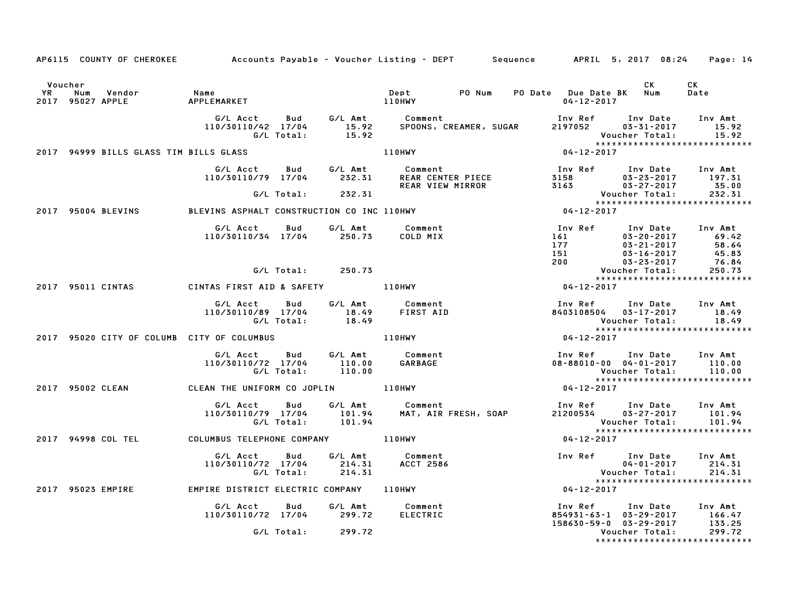|               |                   |                                        | AP6115 COUNTY OF CHEROKEE Accounts Payable - Voucher Listing - DEPT Sequence APRIL 5, 2017 08:24 Page: 14 |                          |                             |                             |                                       |                                             |                                                                                                                                             |                                                                            |
|---------------|-------------------|----------------------------------------|-----------------------------------------------------------------------------------------------------------|--------------------------|-----------------------------|-----------------------------|---------------------------------------|---------------------------------------------|---------------------------------------------------------------------------------------------------------------------------------------------|----------------------------------------------------------------------------|
| Voucher<br>YR | Num               | Vendor<br>2017 95027 APPLE             | Name<br>APPLEMARKET                                                                                       |                          |                             | Dept<br>110HWY              | PO Num                                | PO Date Due Date BK Num<br>$04 - 12 - 2017$ | CK                                                                                                                                          | CK<br>Date                                                                 |
|               |                   |                                        | G/L Acct<br>110/30110/42 17/04                                                                            | <b>Bud</b><br>G/L Total: | G/L Amt<br>15.92<br>15.92   | Comment                     | SPOONS, CREAMER, SUGAR                | Inv Ref<br>2197052                          | Inv Date<br>$03 - 31 - 2017$<br>Voucher Total:                                                                                              | Inv Amt<br>15.92<br>15.92<br>*****************************                 |
|               |                   | 2017 94999 BILLS GLASS TIM BILLS GLASS |                                                                                                           |                          |                             | 110HWY                      |                                       | $04 - 12 - 2017$                            |                                                                                                                                             |                                                                            |
|               |                   |                                        | G/L Acct<br>110/30110/79 17/04 232.31                                                                     | <b>Bud</b>               | G/L Amt                     | Comment                     | REAR CENTER PIECE<br>REAR VIEW MIRROR | Inv Ref                                     | Inv Date<br>$3158$<br>$7123$<br>$7123$<br>$03-27-2017$                                                                                      | Inv Amt<br>197.31<br>35.00                                                 |
|               |                   |                                        |                                                                                                           |                          | G/L Total: 232.31           |                             |                                       |                                             |                                                                                                                                             | Voucher Total: 232.31<br>*****************************                     |
|               |                   | 2017 95004 BLEVINS                     | BLEVINS ASPHALT CONSTRUCTION CO INC 110HWY                                                                |                          |                             |                             |                                       | $04 - 12 - 2017$                            |                                                                                                                                             |                                                                            |
|               |                   |                                        | G/L Acct<br>110/30110/34 17/04 250.73                                                                     | <b>Bud</b>               | G/L Amt                     | Comment<br>COLD MIX         |                                       | 151<br>200                                  | Inv Ref Inv Date Inv Amt<br>$161$<br>$177$<br>$177$<br>$03-20-2017$<br>$03-21-2017$<br>$03-16-2017$<br>03-20-2017 69.42<br>03-21-2017 58.64 | 45.83                                                                      |
|               |                   |                                        |                                                                                                           | G/L Total:               | 250.73                      |                             |                                       |                                             | $03 - 23 - 2017$<br>Voucher Total:                                                                                                          | 76.84<br>250.73                                                            |
|               | 2017 95011 CINTAS |                                        | CINTAS FIRST AID & SAFETY 110HWY                                                                          |                          |                             |                             |                                       | $04 - 12 - 2017$                            |                                                                                                                                             | *****************************                                              |
|               |                   |                                        | G/L Acct<br>110/30110/89 17/04                                                                            | Bud<br>G/L Total:        | G/L Amt<br>18.49<br>18.49   | Comment<br>FIRST AID        |                                       | Inv Ref                                     | Inv Date<br>8403108504 03-17-2017<br>Voucher Total:                                                                                         | Inv Amt<br>18.49<br>18.49                                                  |
|               |                   |                                        | 2017 95020 CITY OF COLUMB CITY OF COLUMBUS                                                                |                          |                             | 110HWY                      |                                       | $04 - 12 - 2017$                            |                                                                                                                                             |                                                                            |
|               |                   |                                        | G/L Acct Bud<br>110/30110/72 17/04                                                                        | G/L Total:               | G/L Amt<br>110.00<br>110.00 | Comment<br><b>GARBAGE</b>   |                                       |                                             | Inv Ref      Inv Date     Inv Amt<br>08-88010-00 04-01-2017<br>Voucher Total:                                                               | 110.00<br>110.00<br>*****************************                          |
|               |                   | 2017 95002 CLEAN                       | CLEAN THE UNIFORM CO JOPLIN 110HWY                                                                        |                          |                             |                             |                                       | $04 - 12 - 2017$                            |                                                                                                                                             |                                                                            |
|               |                   |                                        | G/L Acct<br>110/30110/79 17/04                                                                            | Bud<br>G/L Total:        | G/L Amt<br>101.94<br>101.94 | Comment                     | MAT, AIR FRESH, SOAP                  |                                             | Inv Ref      Inv Date<br>21200534 03-27-2017                                                                                                | Inv Amt<br>101.94<br>Voucher Total: 101.94<br>**************************** |
|               |                   | 2017 94998 COL TEL                     | COLUMBUS TELEPHONE COMPANY <b>110HWY</b>                                                                  |                          |                             |                             |                                       | 04-12-2017                                  |                                                                                                                                             |                                                                            |
|               |                   |                                        | G/L Acct<br>110/30110/72 17/04                                                                            | Bud<br>G/L Total:        | G/L Amt<br>214.31<br>214.31 | Comment<br><b>ACCT 2586</b> |                                       |                                             | Inv Ref Inv Date<br>$04 - 01 - 2017$<br>Voucher Total:                                                                                      | Inv Amt<br>214.31<br>214.31<br>******************************              |
|               | 2017 95023 EMPIRE |                                        | EMPIRE DISTRICT ELECTRIC COMPANY 110HWY                                                                   |                          |                             |                             |                                       | $04 - 12 - 2017$                            |                                                                                                                                             |                                                                            |
|               |                   |                                        | G/L Acct<br>110/30110/72 17/04                                                                            | Bud                      | G/L Amt<br>299.72           | Comment<br><b>ELECTRIC</b>  |                                       | Inv Ref<br>158630-59-0 03-29-2017           | Inv Date<br>854931-63-1 03-29-2017                                                                                                          | Inv Amt<br>166.47<br>133.25                                                |
|               |                   |                                        |                                                                                                           | G/L Total:               | 299.72                      |                             |                                       |                                             | Voucher Total:                                                                                                                              | 299.72<br>*****************************                                    |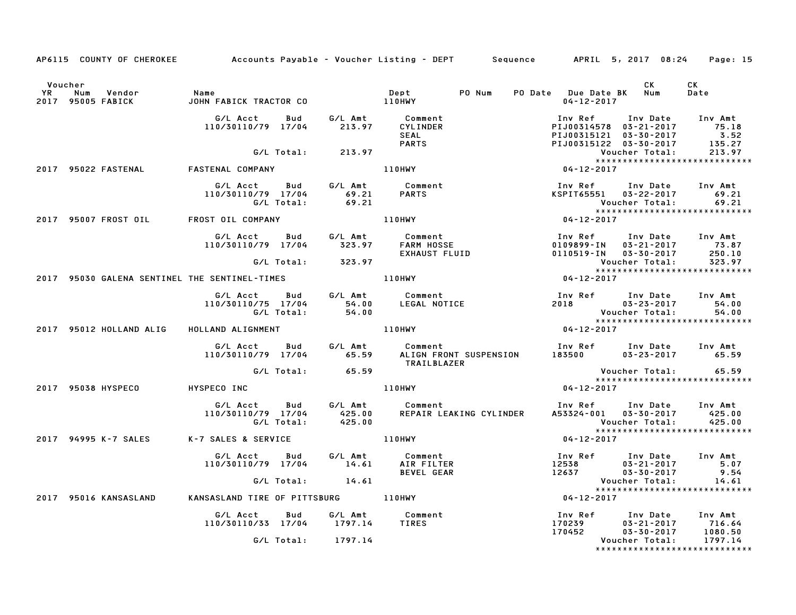|    | AP6115 COUNTY OF CHEROKEE                     | Accounts Payable – Voucher Listing – DEPT       Sequence      APRIL 5, 2017 08:24 |            |                      |                                            |                                                 |                                                                                                           |                                                                                                              | Page: 15                                                                   |
|----|-----------------------------------------------|-----------------------------------------------------------------------------------|------------|----------------------|--------------------------------------------|-------------------------------------------------|-----------------------------------------------------------------------------------------------------------|--------------------------------------------------------------------------------------------------------------|----------------------------------------------------------------------------|
| YR | Voucher<br>Num<br>Vendor<br>2017 95005 FABICK | Name<br>JOHN FABICK TRACTOR CO                                                    |            | <b>110HWY</b>        | Dept                                       | PO Num                                          | PO Date Due Date BK Num<br>$04 - 12 - 2017$                                                               | CK                                                                                                           | CK<br>Date                                                                 |
|    |                                               | G/L Acct<br>110/30110/79 17/04                                                    | Bud        |                      | SEAL<br><b>PARTS</b>                       |                                                 |                                                                                                           | Inv Ref Inv Date Inv Amt<br>PIJ00314578 03-21-2017 75.18<br>PIJ00315121 03-30-2017<br>PIJ00315122 03-30-2017 | $\begin{array}{r} \n 18 \\  3.52 \\  \hline\n 175\n \end{array}$<br>135.27 |
|    |                                               |                                                                                   | G/L Total: | 213.97               |                                            |                                                 |                                                                                                           | Voucher Total:                                                                                               | 213.97                                                                     |
|    | 2017 95022 FASTENAL                           | <b>FASTENAL COMPANY</b>                                                           |            |                      | <b>110HWY</b>                              |                                                 | $04 - 12 - 2017$                                                                                          |                                                                                                              | *****************************                                              |
|    |                                               | G/L Acct<br>110/30110/79 17/04                                                    | G/L Total: | 69.21<br>69.21       | Bud G/L Amt Comment<br><b>PARTS</b>        |                                                 |                                                                                                           | Inv Ref Inv Date Inv Amt<br>KSPIT65551 03-22-2017<br>Voucher Total:                                          | 69.21<br>69.21                                                             |
|    | 2017 95007 FROST OIL FROST OIL COMPANY        |                                                                                   |            |                      | <b>110HWY</b>                              |                                                 | $04 - 12 - 2017$                                                                                          |                                                                                                              |                                                                            |
|    |                                               | G/L Acct<br>110/30110/79 17/04                                                    | <b>Bud</b> | G/L Amt<br>323.97    |                                            | Comment<br>FARM HOSSE<br>EXHAUST FLUID          |                                                                                                           | Inv Ref Inv Date Inv Amt<br>0109899-IN 03-21-2017 73.87<br>0110519-IN 03-30-2017                             | 250.10                                                                     |
|    |                                               |                                                                                   | G/L Total: | 323.97               |                                            |                                                 |                                                                                                           | Voucher Total:                                                                                               | 323.97<br>******************************                                   |
|    | 2017 95030 GALENA SENTINEL THE SENTINEL-TIMES |                                                                                   |            |                      | 110HWY                                     |                                                 | $04 - 12 - 2017$                                                                                          |                                                                                                              |                                                                            |
|    |                                               | G/L Acct Bud<br>110/30110/75 17/04                                                | G/L Total: | 54.00<br>54.00       | G/L Amt Comment                            | Comment<br>LEGAL NOTICE                         | Inv Ref Inv Date Inv Amt<br>2018 03-23-2017 54.00<br>Voucher Total: 54.00<br>**************************** |                                                                                                              | 54.00                                                                      |
|    | 2017 95012 HOLLAND ALIG                       | HOLLAND ALIGNMENT                                                                 |            |                      | <b>110HWY</b>                              |                                                 | $04 - 12 - 2017$                                                                                          |                                                                                                              | *****************************                                              |
|    |                                               | G/L Acct                                                                          |            |                      | Bud G/L Amt Comment<br>TRAILBLAZER         | 110/30110/79 17/04 65.59 ALIGN FRONT SUSPENSION |                                                                                                           | Inv Ref Inv Date Inv Amt<br>$183500$ $03-23-2017$ $65.59$                                                    |                                                                            |
|    |                                               |                                                                                   |            | $G/L$ Total: $65.59$ |                                            |                                                 |                                                                                                           | Voucher Total:                                                                                               | 65.59                                                                      |
|    | 2017 95038 HYSPECO                            | HYSPECO INC                                                                       |            |                      | 110HWY                                     |                                                 | $04 - 12 - 2017$                                                                                          |                                                                                                              | *****************************                                              |
|    |                                               | G/L Acct Bud<br>110/30110/79 17/04 425.00<br>G/L Total: 425.00                    |            |                      | G/L Amt Comment                            | REPAIR LEAKING CYLINDER                         |                                                                                                           | Inv Ref Inv Date Inv Amt<br>A53324-001 03-30-2017<br>Voucher Total:                                          | 425.00<br>425.00                                                           |
|    | 2017 94995 K-7 SALES K-7 SALES & SERVICE      |                                                                                   |            |                      | 110HWY                                     |                                                 | $04 - 12 - 2017$                                                                                          |                                                                                                              |                                                                            |
|    |                                               | G/L Acct Bud<br>110/30110/79 17/04 14.61                                          |            | G/L Amt              | Comment<br>AIR FILTER<br><b>BEVEL GEAR</b> |                                                 | 12538<br>12637                                                                                            | Inv Ref      Inv Date     Inv Amt<br>03-21-2017<br>$03 - 30 - 2017$                                          | 5.07<br>9.54                                                               |
|    |                                               |                                                                                   |            | G/L Total: 14.61     |                                            |                                                 |                                                                                                           | Voucher Total:                                                                                               | 14.61                                                                      |
|    | 2017 95016 KANSASLAND                         | KANSASLAND TIRE OF PITTSBURG 110HWY                                               |            |                      |                                            |                                                 | $04 - 12 - 2017$                                                                                          |                                                                                                              | ******************************                                             |
|    |                                               | G/L Acct<br>110/30110/33 17/04                                                    | Bud        | G/L Amt<br>1797.14   | Comment<br><b>TIRES</b>                    |                                                 | Inv Ref<br>170239                                                                                         | Inv Date Inv Amt<br>03–21–2017 – 716.64                                                                      |                                                                            |
|    |                                               |                                                                                   | G/L Total: | 1797.14              |                                            |                                                 | 170452                                                                                                    | $03 - 30 - 2017$<br>Voucher Total:                                                                           | 1080.50<br>1797.14<br>*****************************                        |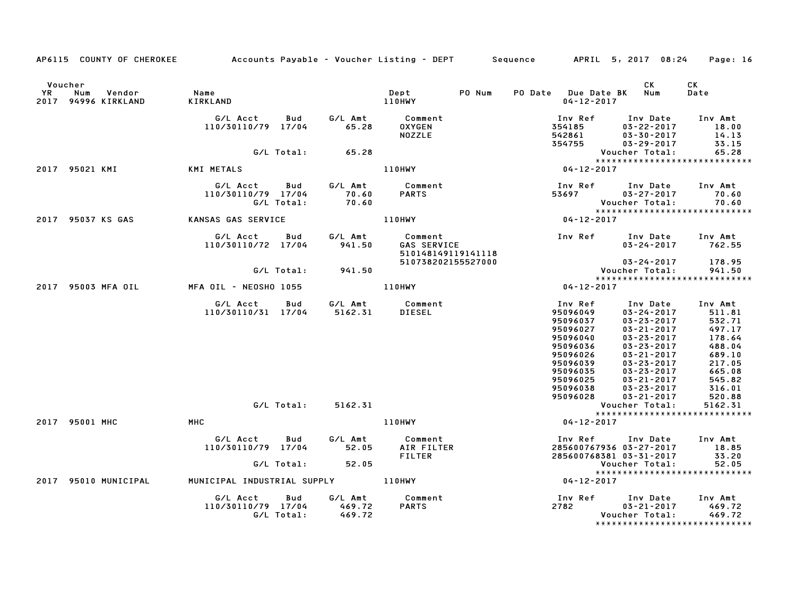|               | AP6115 COUNTY OF CHEROKEE Accounts Payable – Voucher Listing – DEPT Sequence |                                                    |                          |                             |                                              |        |                                                                                                                                                                 | APRIL 5, 2017 08:24                                                                                                                                                                                                                                                                     | Page: 16                                                                                                                         |
|---------------|------------------------------------------------------------------------------|----------------------------------------------------|--------------------------|-----------------------------|----------------------------------------------|--------|-----------------------------------------------------------------------------------------------------------------------------------------------------------------|-----------------------------------------------------------------------------------------------------------------------------------------------------------------------------------------------------------------------------------------------------------------------------------------|----------------------------------------------------------------------------------------------------------------------------------|
| Voucher<br>YR | Num<br>Vendor<br>2017 94996 KIRKLAND                                         | Name<br>KIRKLAND                                   |                          |                             | Dept<br>110HWY                               | PO Num | PO Date Due Date BK<br>$04 - 12 - 2017$                                                                                                                         | CK<br>Num                                                                                                                                                                                                                                                                               | СK<br>Date                                                                                                                       |
|               |                                                                              | G/L Acct<br>110/30110/79 17/04                     | Bud                      | G/L Amt<br>65.28            | Comment<br><b>OXYGEN</b><br><b>NOZZLE</b>    |        | Inv Ref<br>354185<br>542861                                                                                                                                     | Inv Date<br>$03 - 22 - 2017$<br>$03 - 30 - 2017$                                                                                                                                                                                                                                        | Inv Amt<br>18.00<br>14.13                                                                                                        |
|               |                                                                              |                                                    | G/L Total:               | 65.28                       |                                              |        | 354755                                                                                                                                                          | $03 - 29 - 2017$<br>Voucher Total:                                                                                                                                                                                                                                                      | 33.15<br>65.28                                                                                                                   |
|               |                                                                              |                                                    |                          |                             |                                              |        |                                                                                                                                                                 | *****************************                                                                                                                                                                                                                                                           |                                                                                                                                  |
|               | 2017 95021 KMI                                                               | KMI METALS <b>Andrew Strutter</b>                  |                          |                             | <b>110HWY</b>                                |        | $04 - 12 - 2017$                                                                                                                                                |                                                                                                                                                                                                                                                                                         |                                                                                                                                  |
|               |                                                                              | G/L Acct   Bud<br>110/30110/79 17/04<br>G/L Total: |                          | G/L Amt<br>70.60<br>70.60   | Comment<br><b>PARTS</b>                      |        | 53697                                                                                                                                                           | Inv Ref      Inv Date<br>$03 - 27 - 2017$<br>Voucher Total:<br>*****************************                                                                                                                                                                                            | Inv Amt<br>70.60<br>70.60                                                                                                        |
|               | 2017 95037 KS GAS                                                            | KANSAS GAS SERVICE                                 |                          |                             | 110HWY                                       |        | $04 - 12 - 2017$                                                                                                                                                |                                                                                                                                                                                                                                                                                         |                                                                                                                                  |
|               |                                                                              | G/L Acct<br>110/30110/72 17/04                     | Bud                      | G/L Amt<br>941.50           | Comment<br>GAS SERVICE<br>510148149119141118 |        |                                                                                                                                                                 | Inv Ref Inv Date<br>$03 - 24 - 2017$                                                                                                                                                                                                                                                    | Inv Amt<br>762.55                                                                                                                |
|               |                                                                              |                                                    |                          |                             | 510738202155527000                           |        |                                                                                                                                                                 | $03 - 24 - 2017$<br>Voucher Total:                                                                                                                                                                                                                                                      | 178.95                                                                                                                           |
|               |                                                                              |                                                    | G/L Total:               | 941.50                      |                                              |        |                                                                                                                                                                 | *****************************                                                                                                                                                                                                                                                           | 941.50                                                                                                                           |
|               | 2017 95003 MFA OIL                                                           | MFA OIL - NEOSHO 1055                              |                          | <b>110HWY</b>               |                                              |        | $04 - 12 - 2017$                                                                                                                                                |                                                                                                                                                                                                                                                                                         |                                                                                                                                  |
|               | 2017 95001 MHC                                                               | G/L Acct<br>110/30110/31 17/04<br>MHC              | <b>Bud</b><br>G/L Total: | 5162.31<br>5162.31          | G/L Amt Comment<br><b>DIESEL</b><br>110HWY   |        | Inv Ref<br>95096049<br>95096037<br>95096027<br>95096040<br>95096036<br>95096026<br>95096039<br>95096035<br>95096025<br>95096038<br>95096028<br>$04 - 12 - 2017$ | Inv Date<br>$03 - 24 - 2017$<br>$03 - 23 - 2017$<br>$03 - 21 - 2017$<br>$03 - 23 - 2017$<br>$03 - 23 - 2017$<br>$03 - 21 - 2017$<br>$03 - 23 - 2017$<br>$03 - 23 - 2017$<br>$03 - 21 - 2017$<br>$03 - 23 - 2017$<br>$03 - 21 - 2017$<br>Voucher Total:<br>***************************** | Inv Amt<br>511.81<br>532.71<br>497.17<br>178.64<br>488.04<br>689.10<br>217.05<br>665.08<br>545.82<br>316.01<br>520.88<br>5162.31 |
|               |                                                                              | G/L Acct                                           | Bud                      | G/L Amt                     | Comment                                      |        | Inv Ref                                                                                                                                                         | Inv Date                                                                                                                                                                                                                                                                                | Inv Amt                                                                                                                          |
|               |                                                                              | 110/30110/79 17/04                                 |                          | 52.05                       | AIR FILTER<br><b>FILTER</b>                  |        |                                                                                                                                                                 | 285600767936 03-27-2017<br>285600768381 03-31-2017                                                                                                                                                                                                                                      | 18.85<br>33.20                                                                                                                   |
|               |                                                                              |                                                    | G/L Total:               | 52.05                       |                                              |        |                                                                                                                                                                 | Voucher Total:                                                                                                                                                                                                                                                                          | 52.05                                                                                                                            |
|               | 2017 95010 MUNICIPAL                                                         | MUNICIPAL INDUSTRIAL SUPPLY 110HWY                 |                          |                             |                                              |        | $04 - 12 - 2017$                                                                                                                                                | *****************************                                                                                                                                                                                                                                                           |                                                                                                                                  |
|               |                                                                              | G/L Acct Bud<br>110/30110/79 17/04<br>G/L Total:   |                          | G/L Amt<br>469.72<br>469.72 | Comment<br><b>PARTS</b>                      |        | 2782                                                                                                                                                            | Inv Ref Inv Date<br>$03 - 21 - 2017$<br>Voucher Total:                                                                                                                                                                                                                                  | Inv Amt<br>469.72<br>469.72                                                                                                      |

\*\*\*\*\*\*\*\*\*\*\*\*\*\*\*\*\*\*\*\*\*\*\*\*\*\*\*\*\*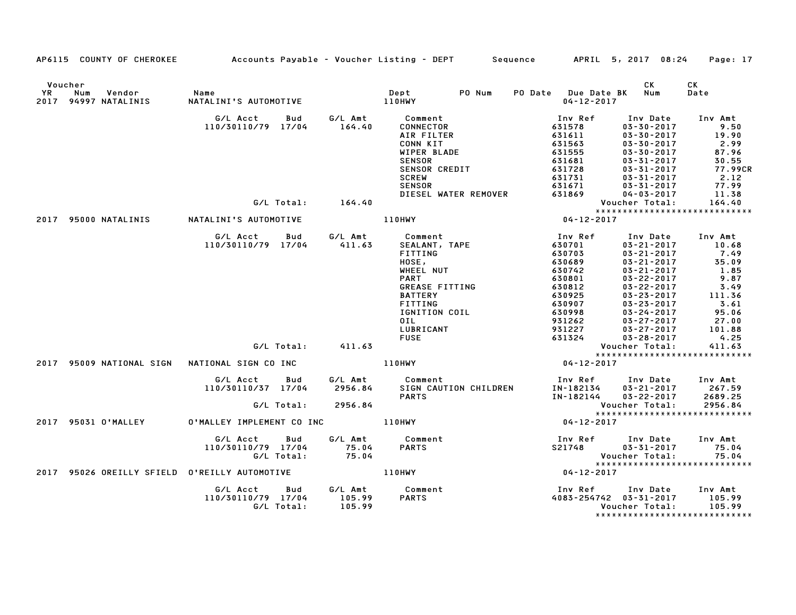|                      |                                       | AP6115 COUNTY OF CHEROKEE Accounts Payable – Voucher Listing – DEPT Sequence                                                |                              |                                                                                                                                                                                                                                                          |                                                                                                                                                                         | APRIL 5, 2017 08:24                                                                                                                                                                                                                                                                                                                                          | Page: 17                                                                                                                  |
|----------------------|---------------------------------------|-----------------------------------------------------------------------------------------------------------------------------|------------------------------|----------------------------------------------------------------------------------------------------------------------------------------------------------------------------------------------------------------------------------------------------------|-------------------------------------------------------------------------------------------------------------------------------------------------------------------------|--------------------------------------------------------------------------------------------------------------------------------------------------------------------------------------------------------------------------------------------------------------------------------------------------------------------------------------------------------------|---------------------------------------------------------------------------------------------------------------------------|
| Voucher<br><b>YR</b> | Num<br>Vendor<br>2017 94997 NATALINIS | Name<br>NATALINI'S AUTOMOTIVE                                                                                               |                              | PO Num<br><b>Dept</b><br>110HWY                                                                                                                                                                                                                          | PO Date Due Date BK Num<br>$04 - 12 - 2017$                                                                                                                             | CK                                                                                                                                                                                                                                                                                                                                                           | CK<br>Date                                                                                                                |
|                      |                                       |                                                                                                                             |                              |                                                                                                                                                                                                                                                          |                                                                                                                                                                         |                                                                                                                                                                                                                                                                                                                                                              |                                                                                                                           |
|                      |                                       | G/L Acct Bud<br>110/30110/79 17/04                                                                                          |                              | CONNECTOR<br>AIR FILTER<br>CONN KIT<br>WIPER BLADE<br><b>SENSOR</b><br><b>SENSOR CREDIT</b>                                                                                                                                                              | Inv Ref<br>631578<br>631611<br>631563<br>631555<br>631681<br>631728                                                                                                     | Inv Date<br>$03 - 30 - 2017$<br>$03 - 30 - 2017$<br>$03 - 30 - 2017$<br>$03 - 30 - 2017$<br>$03 - 31 - 2017$<br>$03 - 31 - 2017$                                                                                                                                                                                                                             | Inv Amt<br>9.50<br>19.90<br>2.99<br>87.96<br>30.55<br>77.99CR                                                             |
|                      |                                       |                                                                                                                             |                              | <b>SCREW</b><br><b>SENSOR</b>                                                                                                                                                                                                                            | 631731<br>631671                                                                                                                                                        | $03 - 31 - 2017$<br>$03 - 31 - 2017$                                                                                                                                                                                                                                                                                                                         | 2.12<br>77.99                                                                                                             |
|                      |                                       | G/L Total: 164.40                                                                                                           |                              | DIESEL WATER REMOVER                                                                                                                                                                                                                                     | 631869                                                                                                                                                                  | $04 - 03 - 2017$<br>Voucher Total:                                                                                                                                                                                                                                                                                                                           | 11.38<br>164.40                                                                                                           |
|                      |                                       |                                                                                                                             |                              |                                                                                                                                                                                                                                                          |                                                                                                                                                                         | *****************************                                                                                                                                                                                                                                                                                                                                |                                                                                                                           |
|                      | 2017 95000 NATALINIS                  | NATALINI'S AUTOMOTIVE                                                                                                       |                              | <b>110HWY</b>                                                                                                                                                                                                                                            | Vouc<br>* * * *<br>12-2017–04                                                                                                                                           |                                                                                                                                                                                                                                                                                                                                                              |                                                                                                                           |
|                      | 2017 95009 NATIONAL SIGN              | G/L Acct<br>Bud<br>110/30110/79 17/04<br>G/L Total: 411.63<br>NATIONAL SIGN CO INC<br>G/L Acct<br>Bud<br>110/30110/37 17/04 | G/L Amt<br>411.63<br>2956.84 | Comment<br>SEALANT, TAPE<br>FITTING<br>HOSE,<br>WHEEL NUT<br><b>PART</b><br>GREASE FITTING<br><b>BATTERY</b><br>FITTING<br>IGNITION COIL<br>OIL<br>LUBRICANT<br><b>FUSE</b><br><b>110HWY</b><br>G/L Amt Comment<br>SIGN CAUTION CHILDREN<br><b>PARTS</b> | Inv Ref<br>630701<br>630703<br>630689<br>630742<br>630801<br>630812<br>630925<br>630907<br>630998<br>931262<br>931227<br>631324<br>04-12-2017<br>IN-182134<br>IN-182144 | Inv Date<br>$03 - 21 - 2017$<br>$03 - 21 - 2017$<br>$03 - 21 - 2017$<br>$03 - 21 - 2017$<br>$03 - 22 - 2017$<br>$03 - 22 - 2017$<br>$03 - 23 - 2017$<br>$03 - 23 - 2017$<br>03-24-2017<br>$03 - 27 - 2017$<br>$03 - 27 - 2017$<br>$03 - 28 - 2017$<br>Voucher Total:<br>*****************************<br>Inv Ref Inv Date Inv Amt<br>$03 - 21 - 2017$ 267.59 | Inv Amt<br>10.68<br>7.49<br>35.09<br>1.85<br>9.87<br>3.49<br>111.36<br>3.61<br>95.06<br>27.00<br>101.88<br>4.25<br>411.63 |
|                      |                                       | G/L Total: 2956.84                                                                                                          |                              |                                                                                                                                                                                                                                                          |                                                                                                                                                                         | $03 - 22 - 2017$<br>Voucher Total:                                                                                                                                                                                                                                                                                                                           | 2689.25<br>2956.84                                                                                                        |
|                      | 2017 95031 O'MALLEY                   | O'MALLEY IMPLEMENT CO INC                                                                                                   |                              | 110HWY                                                                                                                                                                                                                                                   | $04 - 12 - 2017$                                                                                                                                                        | *****************************                                                                                                                                                                                                                                                                                                                                |                                                                                                                           |
|                      |                                       | G/L Acct<br>Bud<br>110/30110/79 17/04 75.04<br>G/L Total: 75.04                                                             | G/L Amt                      | Comment<br><b>PARTS</b>                                                                                                                                                                                                                                  | Vouc<br>*****<br>04-12-2017                                                                                                                                             | ******************************                                                                                                                                                                                                                                                                                                                               | 75.04<br>75.04                                                                                                            |
|                      |                                       | 2017 95026 OREILLY SFIELD O'REILLY AUTOMOTIVE                                                                               | <b>110HWY</b>                |                                                                                                                                                                                                                                                          |                                                                                                                                                                         |                                                                                                                                                                                                                                                                                                                                                              |                                                                                                                           |
|                      |                                       | G/L Acct<br>Bud<br>110/30110/79 17/04 105.99<br>G/L Total:                                                                  | G/L Amt<br>105.99            | Comment<br><b>PARTS</b>                                                                                                                                                                                                                                  | Inv Ref                                                                                                                                                                 | Inv Date<br>4083-254742 03-31-2017<br>Voucher Total:<br>*****************************                                                                                                                                                                                                                                                                        | Inv Amt<br>105.99<br>105.99                                                                                               |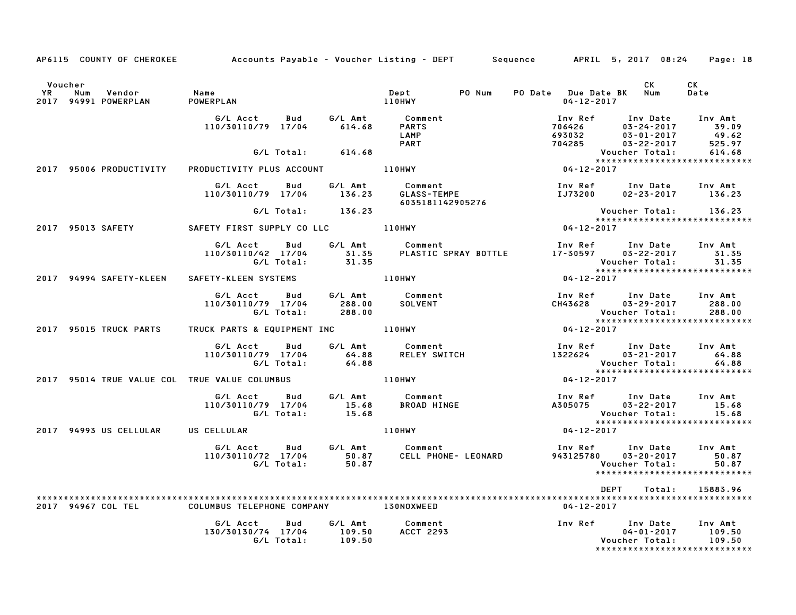|           |     |                                | AP6115 COUNTY OF CHEROKEE Accounts Payable – Voucher Listing – DEPT Sequence APRIL 5, 2017 08:24 Page: 18 |                          |                             |                                                    |        |                                                |                                                                                             |                                     |
|-----------|-----|--------------------------------|-----------------------------------------------------------------------------------------------------------|--------------------------|-----------------------------|----------------------------------------------------|--------|------------------------------------------------|---------------------------------------------------------------------------------------------|-------------------------------------|
| Voucher   |     |                                |                                                                                                           |                          |                             |                                                    |        |                                                | CK                                                                                          | CK                                  |
| <b>YR</b> | Num | Vendor<br>2017 94991 POWERPLAN | Name<br>POWERPLAN                                                                                         |                          |                             | Dept<br>110HWY                                     | PO Num | PO Date Due Date BK Num<br>$04 - 12 - 2017$    |                                                                                             | Date                                |
|           |     |                                | G/L Acct<br>110/30110/79 17/04                                                                            | Bud                      | 614.68                      | G/L Amt Comment<br>PARTS<br>LAMP<br><b>PART</b>    |        | 706426<br>693032<br>693U32<br>704285           | Inv Ref Inv Date<br>03-24-2017<br>$03 - 01 - 2017$<br>$03 - 22 - 2017$                      | Inv Amt<br>39.09<br>49.62<br>525.97 |
|           |     |                                |                                                                                                           | G/L Total:               | 614.68                      |                                                    |        |                                                | Voucher Total:                                                                              | 614.68                              |
|           |     | 2017 95006 PRODUCTIVITY        | PRODUCTIVITY PLUS ACCOUNT THE LIOHWY                                                                      |                          |                             |                                                    |        | $04 - 12 - 2017$                               | *****************************                                                               |                                     |
|           |     |                                | G/L Acct<br>110/30110/79 17/04                                                                            | Bud                      | 136.23                      | G/L Amt Comment<br>GLASS-TEMPE<br>6035181142905276 |        | <b>IJ73200</b>                                 | Inv Ref Inv Date<br>$02 - 23 - 2017$ 136.23                                                 | Inv Amt                             |
|           |     |                                |                                                                                                           |                          | G/L Total: 136.23           |                                                    |        |                                                | Voucher Total:                                                                              | 136.23                              |
|           |     | 2017 95013 SAFETY              |                                                                                                           |                          |                             |                                                    |        | $04 - 12 - 2017$                               | *****************************                                                               |                                     |
|           |     |                                | G/L Acct Bud<br>110/30110/42 17/04                                                                        | G/L Total:               | G/L Amt<br>31.35            | Comment                                            |        | 31.35 PLASTIC SPRAY BOTTLE 17-30597 03-22-2017 | Inv Ref      Inv Date<br>Voucher Total:                                                     | Inv Amt<br>31.35<br>31.35           |
|           |     | 2017 94994 SAFETY-KLEEN        | SAFETY-KLEEN SYSTEMS                                                                                      |                          |                             | 110HWY                                             |        | 04-12-2017                                     |                                                                                             |                                     |
|           |     |                                | G/L Acct<br>110/30110/79 17/04                                                                            | <b>Bud</b><br>G/L Total: | G/L Amt<br>288.00<br>288.00 | Comment<br><b>SOLVENT</b>                          |        | CH43628                                        | Inv Ref Inv Date<br>03-29-2017<br>Voucher Total:                                            | Inv Amt<br>288.00<br>288.00         |
|           |     | 2017 95015 TRUCK PARTS         | TRUCK PARTS & EQUIPMENT INC 110HWY                                                                        |                          |                             |                                                    |        | $04 - 12 - 2017$                               | ******************************                                                              |                                     |
|           |     |                                | G/L Acct Bud<br>110/30110/79 17/04                                                                        | G/L Total:               | G/L Amt<br>64.88<br>64.88   | Comment<br>Comment<br>RELEY SWITCH                 |        |                                                | Inv Ref Inv Date Inv Amt<br>$1322624$ $03-21-2017$<br>Voucher Total:                        | 64.88<br>64.88                      |
|           |     |                                | 2017 95014 TRUE VALUE COL TRUE VALUE COLUMBUS                                                             |                          |                             | <b>110HWY</b>                                      |        | $04 - 12 - 2017$                               | *****************************                                                               |                                     |
|           |     |                                | G/L Acct Bud<br>110/30110/79 17/04                                                                        | G/L Total:               | G/L Amt<br>15.68<br>15.68   | Comment<br>BROAD HINGE                             |        | A305075                                        | Inv Ref      Inv Date<br>03-22-2017<br>Voucher Total: 15.68<br>**************************** | Inv Amt<br>15.68                    |
|           |     | 2017 94993 US CELLULAR         | US CELLULAR                                                                                               |                          |                             | 110HWY                                             |        | $04 - 12 - 2017$                               |                                                                                             |                                     |
|           |     |                                | G/L Acct<br>110/30110/72 17/04 50.87                                                                      | <b>Bud</b><br>G/L Total: | G/L Amt<br>50.87            | Comment<br>CELL PHONE- LEONARD                     |        | Inv Ref<br>943125780                           | Inv Date<br>$03 - 20 - 2017$<br>Voucher Total:<br>*****************************             | Inv Amt<br>50.87<br>50.87           |
|           |     |                                |                                                                                                           |                          |                             |                                                    |        |                                                | DEPT<br>Total:                                                                              | 15883.96                            |
|           |     | 2017 94967 COL TEL             | COLUMBUS TELEPHONE COMPANY 130NOXWEED                                                                     |                          |                             |                                                    |        | 04-12-2017                                     |                                                                                             |                                     |
|           |     |                                | G/L Acct<br>130/30130/74 17/04                                                                            | Bud<br>G/L Total:        | G/L Amt<br>109.50<br>109.50 | Comment<br><b>ACCT 2293</b>                        |        |                                                | Inv Ref Inv Date<br>$04 - 01 - 2017$<br>Voucher Total:<br>*****************************     | Inv Amt<br>109.50<br>109.50         |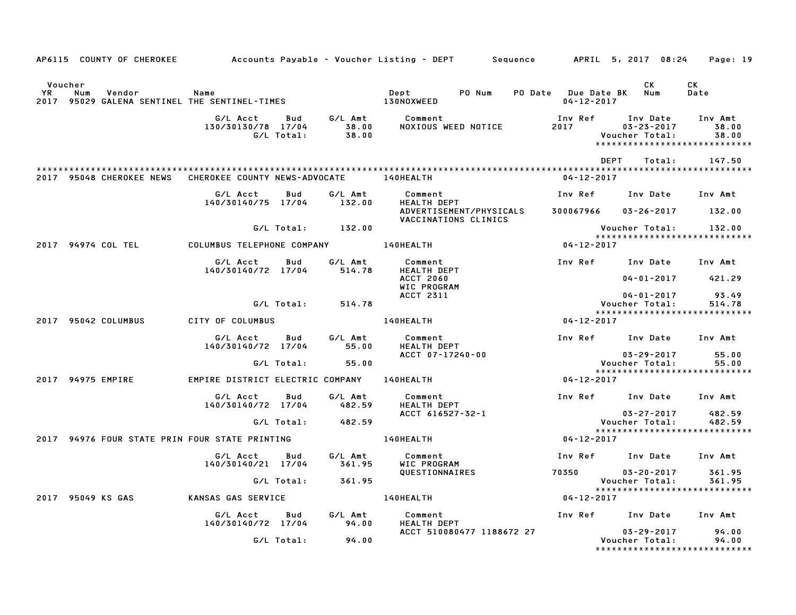|                      |                                                                  |                                            |                   |                           | AP6115 COUNTY OF CHEROKEE            Accounts Payable – Voucher Listing – DEPT        Sequence |                                             | APRIL 5, 2017 08:24     Page: 19                                                |                           |
|----------------------|------------------------------------------------------------------|--------------------------------------------|-------------------|---------------------------|------------------------------------------------------------------------------------------------|---------------------------------------------|---------------------------------------------------------------------------------|---------------------------|
| Voucher<br><b>YR</b> | Num<br>Vendor<br>2017 95029 GALENA SENTINEL THE SENTINEL-TIMES   | Name                                       |                   |                           | Dept<br>PO Num<br><b>130NOXWEED</b>                                                            | PO Date Due Date BK Num<br>$04 - 12 - 2017$ | CK                                                                              | CK<br>Date                |
|                      |                                                                  | G/L Acct<br>130/30130/78 17/04             | Bud<br>G/L Total: | G/L Amt<br>38.00<br>38.00 | Comment<br>NOXIOUS WEED NOTICE                                                                 | Inv Ref<br>2017                             | Inv Date<br>$03 - 23 - 2017$<br>Voucher Total:<br>***************************** | Inv Amt<br>38.00<br>38.00 |
|                      | 2017 95048 CHEROKEE NEWS CHEROKEE COUNTY NEWS-ADVOCATE 140HEALTH |                                            |                   |                           |                                                                                                | 04-12-2017                                  | DEPT<br>Total:                                                                  | 147.50                    |
|                      |                                                                  | G/L Acct                                   | Bud               | G/L Amt                   | Comment                                                                                        | Inv Ref                                     | Inv Date                                                                        | Inv Amt                   |
|                      |                                                                  | 140/30140/75 17/04                         |                   | 132.00                    | HEALTH DEPT<br>ADVERTISEMENT/PHYSICALS<br>VACCINATIONS CLINICS                                 |                                             | 300067966 03-26-2017 132.00                                                     |                           |
|                      |                                                                  |                                            | G/L Total:        | 132.00                    |                                                                                                |                                             | Voucher Total:                                                                  | 132.00                    |
|                      | 2017 94974 COL TEL                                               | COLUMBUS TELEPHONE COMPANY 140HEALTH       |                   |                           |                                                                                                | $04 - 12 - 2017$                            |                                                                                 |                           |
|                      |                                                                  | G/L Acct<br>140/30140/72 17/04             | Bud               | G/L Amt<br>514.78         | Comment<br><b>HEALTH DEPT</b>                                                                  |                                             | Inv Ref Inv Date Inv Amt                                                        |                           |
|                      |                                                                  |                                            |                   |                           | <b>ACCT 2060</b><br>WIC PROGRAM                                                                |                                             | 04-01-2017 421.29                                                               |                           |
|                      |                                                                  |                                            |                   |                           | ACCT 2311                                                                                      |                                             | $04 - 01 - 2017$                                                                | 93.49                     |
|                      |                                                                  |                                            | G/L Total:        | 514.78                    |                                                                                                |                                             | Voucher Total:<br>*****************************                                 | 514.78                    |
|                      | 2017 95042 COLUMBUS                                              | CITY OF COLUMBUS                           |                   |                           | 140HEALTH                                                                                      | $04 - 12 - 2017$                            |                                                                                 |                           |
|                      |                                                                  | G/L Acct<br>140/30140/72 17/04             | Bud               | G/L Amt<br>55.00          | Comment<br><b>HEALTH DEPT</b>                                                                  |                                             | Inv Ref Inv Date Inv Amt                                                        |                           |
|                      |                                                                  |                                            |                   |                           | ACCT 07-17240-00                                                                               |                                             | 03-29-2017                                                                      | 55.00                     |
|                      |                                                                  |                                            | G/L Total:        | 55.00                     |                                                                                                |                                             | Voucher Total:<br>*****************************                                 | 55.00                     |
|                      | 2017 94975 EMPIRE                                                | EMPIRE DISTRICT ELECTRIC COMPANY 140HEALTH |                   |                           |                                                                                                | $04 - 12 - 2017$                            |                                                                                 |                           |
|                      |                                                                  | G/L Acct<br>140/30140/72 17/04             | Bud               | G/L Amt<br>482.59         | Comment<br>HEALTH DEPT                                                                         |                                             | Inv Ref Inv Date Inv Amt                                                        |                           |
|                      |                                                                  |                                            | G/L Total:        | 482.59                    | ACCT 616527-32-1                                                                               |                                             | $03 - 27 - 2017$<br>Voucher Total:                                              | 482.59<br>482.59          |
|                      | 2017 94976 FOUR STATE PRIN FOUR STATE PRINTING                   |                                            |                   |                           | <b>140HEALTH</b>                                                                               | $04 - 12 - 2017$                            | *****************************                                                   |                           |
|                      |                                                                  | G/L Acct<br>140/30140/21 17/04             | Bud               | G/L Amt<br>361.95         | Comment<br>WIC PROGRAM                                                                         |                                             | Inv Ref Inv Date Inv Amt                                                        |                           |
|                      |                                                                  |                                            | G/L Total:        | 361.95                    | QUESTIONNAIRES                                                                                 | 70350                                       | 03-20-2017<br>Voucher Total:                                                    | 361.95<br>361.95          |
|                      | 2017 95049 KS GAS                                                | KANSAS GAS SERVICE                         |                   |                           | 140HEALTH                                                                                      | 04-12-2017                                  | *****************************                                                   |                           |
|                      |                                                                  | G/L Acct                                   | <b>Bud</b>        | G/L Amt                   | Comment                                                                                        |                                             | Inv Ref Inv Date Inv Amt                                                        |                           |
|                      |                                                                  | 140/30140/72 17/04                         |                   | 94.00                     | <b>HEALTH DEPT</b>                                                                             |                                             |                                                                                 |                           |
|                      |                                                                  |                                            | G/L Total:        | 94.00                     | ACCT 510080477 1188672 27                                                                      |                                             | 03-29-2017<br>Voucher Total:<br>*****************************                   | 94.00<br>94.00            |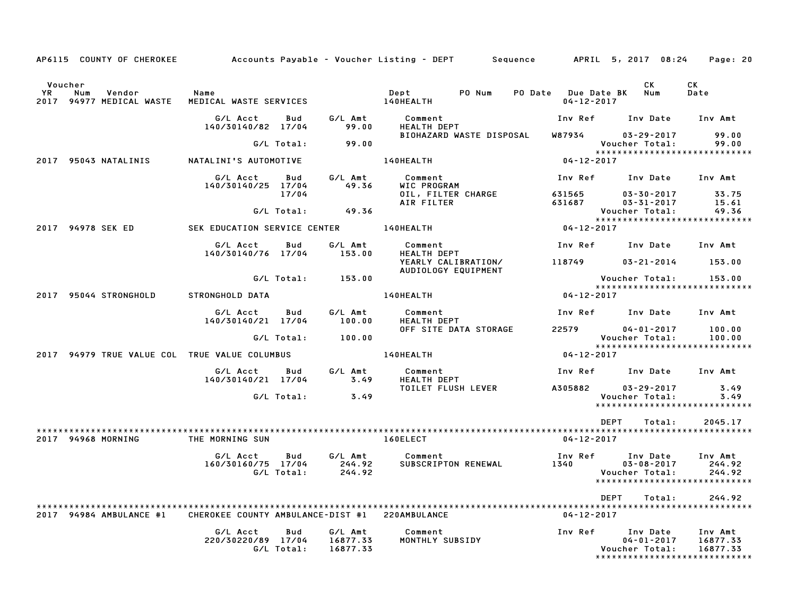|                        |                       | AP6115 COUNTY OF CHEROKEE |                                               |                   |                                 | Accounts Payable – Voucher Listing – DEPT      | Sequence |                                 | APRIL 5, 2017 08:24                                                               | Page: 20                        |
|------------------------|-----------------------|---------------------------|-----------------------------------------------|-------------------|---------------------------------|------------------------------------------------|----------|---------------------------------|-----------------------------------------------------------------------------------|---------------------------------|
| Voucher<br>YR.<br>2017 | Num<br>Vendor         | 94977 MEDICAL WASTE       | Name<br>MEDICAL WASTE SERVICES                |                   |                                 | PO Num<br>Dept<br>140HEALTH                    | PO Date  | Due Date BK<br>$04 - 12 - 2017$ | <b>CK</b><br>Num                                                                  | <b>CK</b><br>Date               |
|                        |                       |                           | G/L Acct                                      | Bud               | G/L Amt                         | Comment                                        |          | Inv Ref                         | Inv Date                                                                          | Inv Amt                         |
|                        |                       |                           | 140/30140/82 17/04                            | G/L Total:        | 99.00<br>99.00                  | <b>HEALTH DEPT</b><br>BIOHAZARD WASTE DISPOSAL |          | W87934                          | $03 - 29 - 2017$<br>Voucher Total:                                                | 99.00<br>99.00                  |
|                        | 2017 95043 NATALINIS  |                           | NATALINI'S AUTOMOTIVE                         |                   |                                 | 140HEALTH                                      |          | $04 - 12 - 2017$                | *****************************                                                     |                                 |
|                        |                       |                           | G/L Acct                                      | Bud               | G/L Amt                         | Comment                                        |          | Inv Ref                         | Inv Date                                                                          | Inv Amt                         |
|                        |                       |                           | 140/30140/25 17/04                            | 17/04             | 49.36                           | WIC PROGRAM<br>OIL, FILTER CHARGE              |          | 631565                          | $03 - 30 - 2017$                                                                  | 33.75                           |
|                        |                       |                           |                                               | G/L Total:        | 49.36                           | AIR FILTER                                     |          | 631687                          | $03 - 31 - 2017$<br>Voucher Total:                                                | 15.61<br>49.36                  |
|                        | 2017 94978 SEK ED     |                           | SEK EDUCATION SERVICE CENTER                  |                   |                                 | 140HEALTH                                      |          | 04-12-2017                      | *****************************                                                     |                                 |
|                        |                       |                           | G/L Acct<br>140/30140/76 17/04                | Bud               | G/L Amt<br>153.00               | Comment<br><b>HEALTH DEPT</b>                  |          | Inv Ref                         | Inv Date                                                                          | Inv Amt                         |
|                        |                       |                           |                                               |                   |                                 | YEARLY CALIBRATION/<br>AUDIOLOGY EQUIPMENT     |          | 118749                          | $03 - 21 - 2014$                                                                  | 153.00                          |
|                        |                       |                           |                                               | G/L Total:        | 153.00                          |                                                |          |                                 | Voucher Total:<br>*****************************                                   | 153.00                          |
|                        | 2017 95044 STRONGHOLD |                           | STRONGHOLD DATA                               |                   |                                 | 140HEALTH                                      |          | $04 - 12 - 2017$                |                                                                                   |                                 |
|                        |                       |                           | G/L Acct<br>140/30140/21 17/04                | Bud               | G/L Amt<br>100.00               | Comment<br><b>HEALTH DEPT</b>                  |          | Inv Ref                         | Inv Date                                                                          | Inv Amt                         |
|                        |                       |                           |                                               | G/L Total:        | 100.00                          | OFF SITE DATA STORAGE                          |          | 22579                           | $04 - 01 - 2017$<br>Voucher Total:                                                | 100.00<br>100.00                |
|                        |                       |                           | 2017 94979 TRUE VALUE COL TRUE VALUE COLUMBUS |                   |                                 | 140HEALTH                                      |          | $04 - 12 - 2017$                | *****************************                                                     |                                 |
|                        |                       |                           | G/L Acct<br>140/30140/21 17/04                | Bud               | G/L Amt<br>3.49                 | Comment<br><b>HEALTH DEPT</b>                  |          | Inv Ref                         | Inv Date                                                                          | Inv Amt                         |
|                        |                       |                           |                                               | G/L Total:        | 3.49                            | <b>TOILET FLUSH LEVER</b>                      |          | A305882                         | $03 - 29 - 2017$<br>Voucher Total:<br>******************************              | 3.49<br>3.49                    |
|                        |                       |                           |                                               |                   |                                 |                                                |          |                                 |                                                                                   |                                 |
|                        | 2017 94968 MORNING    |                           | THE MORNING SUN                               |                   |                                 | 160ELECT                                       |          | $04 - 12 - 2017$                | <b>DEPT</b><br>Total:                                                             | 2045.17                         |
|                        |                       |                           | G/L Acct<br>160/30160/75 17/04                | Bud               | G/L Amt<br>244.92               | Comment<br>SUBSCRIPTON RENEWAL                 |          | Inv Ref<br>1340                 | Inv Date<br>$03 - 08 - 2017$                                                      | Inv Amt<br>244.92               |
|                        |                       |                           |                                               | G/L Total:        | 244.92                          |                                                |          |                                 | Voucher Total:<br>*****************************                                   | 244.92                          |
|                        |                       |                           |                                               |                   |                                 |                                                |          |                                 | <b>DEPT</b><br>Total:                                                             | 244.92                          |
| 2017                   | 94984 AMBULANCE #1    |                           | CHEROKEE COUNTY AMBULANCE-DIST #1             |                   |                                 | 220AMBULANCE                                   |          | $04 - 12 - 2017$                |                                                                                   |                                 |
|                        |                       |                           | G/L Acct<br>220/30220/89 17/04                | Bud<br>G/L Total: | G/L Amt<br>16877.33<br>16877.33 | Comment<br>MONTHLY SUBSIDY                     |          | Inv Ref                         | Inv Date<br>$04 - 01 - 2017$<br>Voucher Total:<br>******************************* | Inv Amt<br>16877.33<br>16877.33 |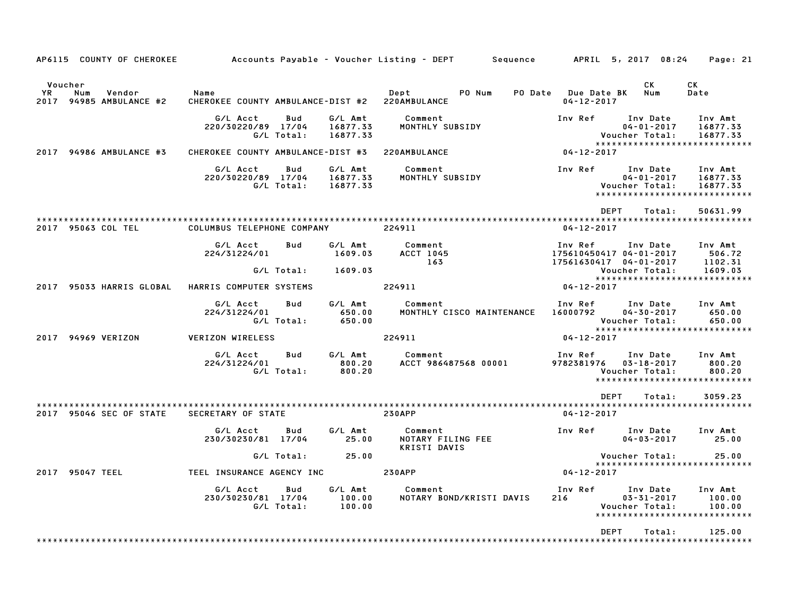| AP6115 COUNTY OF CHEROKEE                                  |                                                        |                   |                                    | Accounts Payable – Voucher Listing – DEPT       Sequence       APRIL 5, 2017 08:24 |                                                              |                                                | Page: 21                                                         |
|------------------------------------------------------------|--------------------------------------------------------|-------------------|------------------------------------|------------------------------------------------------------------------------------|--------------------------------------------------------------|------------------------------------------------|------------------------------------------------------------------|
| Voucher<br>YR.<br>Num<br>Vendor<br>2017 94985 AMBULANCE #2 | Name<br>CHEROKEE COUNTY AMBULANCE-DIST #2 220AMBULANCE |                   |                                    | PO Num<br>Dept                                                                     | PO Date Due Date BK<br>$04 - 12 - 2017$                      | CK<br>Num                                      | CK<br>Date                                                       |
|                                                            | G/L Acct<br>220/30220/89 17/04                         | Bud<br>G/L Total: | G/L Amt<br>16877.33<br>16877.33    | Comment<br>MONTHLY SUBSIDY                                                         | Inv Ref                                                      | Inv Date<br>$04 - 01 - 2017$<br>Voucher Total: | Inv Amt<br>16877.33<br>16877.33<br>***************************** |
| 2017 94986 AMBULANCE #3                                    | CHEROKEE COUNTY AMBULANCE-DIST #3                      |                   |                                    | 220AMBULANCE                                                                       | $04 - 12 - 2017$                                             |                                                |                                                                  |
|                                                            | G/L Acct<br>220/30220/89 17/04                         | Bud<br>G/L Total: | G/L Amt<br>16877.33<br>16877.33    | Comment<br>MONTHLY SUBSIDY                                                         | Inv Ref                                                      | Inv Date<br>$04 - 01 - 2017$<br>Voucher Total: | Inv Amt<br>16877.33<br>16877.33<br>***************************** |
|                                                            |                                                        |                   |                                    |                                                                                    | <b>DEPT</b>                                                  | Total:                                         | 50631.99                                                         |
| 2017 95063 COL TEL                                         | COLUMBUS TELEPHONE COMPANY                             |                   |                                    | 224911                                                                             | $04 - 12 - 2017$                                             |                                                |                                                                  |
|                                                            | G/L Acct<br>224/31224/01                               | <b>Bud</b>        | G/L Amt<br>1609.03                 | Comment<br>ACCT 1045<br>163                                                        | Inv Ref<br>175610450417 04-01-2017<br>17561630417 04-01-2017 | Inv Date                                       | Inv Amt<br>506.72<br>1102.31                                     |
|                                                            |                                                        | G/L Total:        | 1609.03                            |                                                                                    |                                                              | Voucher Total:                                 | 1609.03                                                          |
| 2017 95033 HARRIS GLOBAL                                   | HARRIS COMPUTER SYSTEMS                                |                   |                                    | 224911                                                                             | $04 - 12 - 2017$                                             |                                                | *****************************                                    |
|                                                            | G/L Acct<br>224/31224/01                               | Bud<br>G/L Total: | G/L Amt<br>650.00<br>650.00        | Comment<br>MONTHLY CISCO MAINTENANCE                                               | Inv Ref Inv Date<br>16000792 04-30-2017                      | Voucher Total:                                 | Inv Amt<br>650.00<br>650.00                                      |
| 2017 94969 VERIZON                                         | <b>VERIZON WIRELESS</b>                                |                   |                                    | 224911                                                                             | 04-12-2017                                                   |                                                |                                                                  |
|                                                            | G/L Acct<br>224/31224/01                               | Bud<br>G/L Total: | G/L Amt<br>800.20<br>800.20        | Comment<br>ACCT 986487568 00001                                                    | Inv Ref<br>9782381976 03-18-2017                             | Inv Date<br>Voucher Total:                     | Inv Amt<br>800.20<br>800.20<br>*****************************     |
|                                                            |                                                        |                   |                                    |                                                                                    | DEPT                                                         | Total:                                         | 3059.23                                                          |
| 2017 95046 SEC OF STATE                                    | SECRETARY OF STATE                                     |                   |                                    | <b>230APP</b>                                                                      | $04 - 12 - 2017$                                             |                                                |                                                                  |
|                                                            | G/L Acct<br>230/30230/81 17/04                         | Bud               | G/L Amt<br>25.00                   | Comment<br>NOTARY FILING FEE<br><b>KRISTI DAVIS</b>                                | Inv Ref                                                      | Inv Date<br>$04 - 03 - 2017$                   | Inv Amt<br>25.00                                                 |
|                                                            |                                                        | G/L Total:        | 25.00                              |                                                                                    |                                                              | Voucher Total:                                 | 25.00                                                            |
| 2017 95047 TEEL                                            | TEEL INSURANCE AGENCY INC <b>230APP</b>                |                   |                                    |                                                                                    | $04 - 12 - 2017$                                             |                                                | *****************************                                    |
|                                                            | G/L Acct<br>230/30230/81 17/04                         | Bud<br>G/L Total: | G/L Amt<br>$\frac{100.00}{100.00}$ | Comment<br>NOTARY BOND/KRISTI DAVIS                                                | Inv Ref<br>216                                               | Inv Date<br>$03 - 31 - 2017$<br>Voucher Total: | Inv Amt<br>100.00<br>100.00<br>******************************    |
|                                                            |                                                        |                   |                                    |                                                                                    | <b>DEPT</b>                                                  | Total:                                         | 125.00                                                           |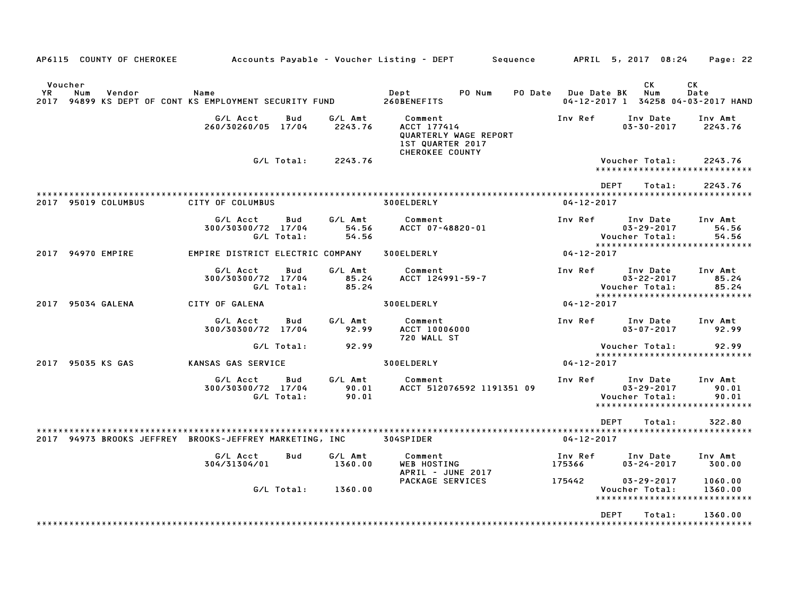| AP6115 COUNTY OF CHEROKEE                                                                |                                  |                   |                           | Accounts Payable – Voucher Listing – DEPT<br>Sequence                                         |                   | APRIL 5, 2017 08:24                                                             | Page: 22                  |
|------------------------------------------------------------------------------------------|----------------------------------|-------------------|---------------------------|-----------------------------------------------------------------------------------------------|-------------------|---------------------------------------------------------------------------------|---------------------------|
| Voucher<br>YR<br>Num<br>Vendor<br>2017 94899 KS DEPT OF CONT KS EMPLOYMENT SECURITY FUND | Name                             |                   |                           | PO Num<br>Dept<br>PO Date<br>260BENEFITS                                                      | Due Date BK       | СK<br>Num<br>04-12-2017 1 34258 04-03-2017 HAND                                 | СK<br>Date                |
|                                                                                          | G/L Acct<br>260/30260/05 17/04   | Bud               | G/L Amt<br>2243.76        | Comment<br>ACCT 177414<br>QUARTERLY WAGE REPORT<br><b>1ST QUARTER 2017</b><br>CHEROKEE COUNTY | Inv Ref           | Inv Date<br>$03 - 30 - 2017$                                                    | Inv Amt<br>2243.76        |
|                                                                                          |                                  | G/L Total:        | 2243.76                   |                                                                                               |                   | Voucher Total:<br>*****************************                                 | 2243.76                   |
| 2017 95019 COLUMBUS                                                                      | CITY OF COLUMBUS                 |                   |                           | 300ELDERLY                                                                                    | $04 - 12 - 2017$  | <b>DEPT</b><br>Total:                                                           | 2243.76                   |
|                                                                                          | G/L Acct<br>300/30300/72 17/04   | Bud<br>G/L Total: | G/L Amt<br>54.56<br>54.56 | Comment<br>ACCT 07-48820-01                                                                   | Inv Ref           | Inv Date<br>$03 - 29 - 2017$<br>Voucher Total:                                  | Inv Amt<br>54.56<br>54.56 |
| 2017 94970 EMPIRE                                                                        | EMPIRE DISTRICT ELECTRIC COMPANY |                   |                           | 300ELDERLY                                                                                    | $04 - 12 - 2017$  | *****************************                                                   |                           |
|                                                                                          | G/L Acct<br>300/30300/72 17/04   | Bud<br>G/L Total: | G/L Amt<br>85.24<br>85.24 | Comment<br>ACCT 124991-59-7                                                                   | Inv Ref           | Inv Date<br>$03 - 22 - 2017$<br>Voucher Total:                                  | Inv Amt<br>85.24<br>85.24 |
| 2017 95034 GALENA                                                                        | CITY OF GALENA                   |                   |                           | 300ELDERLY                                                                                    | $04 - 12 - 2017$  | *****************************                                                   |                           |
|                                                                                          | G/L Acct<br>300/30300/72 17/04   | Bud               | G/L Amt<br>92.99          | Comment<br>ACCT 10006000<br>720 WALL ST                                                       | Inv Ref           | Inv Date<br>$03 - 07 - 2017$                                                    | Inv Amt<br>92.99          |
|                                                                                          |                                  | G/L Total:        | 92.99                     |                                                                                               |                   | Voucher Total:<br>*****************************                                 | 92.99                     |
| 2017 95035 KS GAS                                                                        | KANSAS GAS SERVICE               |                   |                           | 300ELDERLY                                                                                    | $04 - 12 - 2017$  |                                                                                 |                           |
|                                                                                          | G/L Acct<br>300/30300/72 17/04   | Bud<br>G/L Total: | G/L Amt<br>90.01<br>90.01 | Comment<br>ACCT 512076592 1191351 09                                                          | Inv Ref           | Inv Date<br>$03 - 29 - 2017$<br>Voucher Total:<br>***************************** | Inv Amt<br>90.01<br>90.01 |
| 2017 94973 BROOKS JEFFREY BROOKS-JEFFREY MARKETING, INC                                  |                                  |                   |                           | 304SPIDER                                                                                     | $04 - 12 - 2017$  | <b>DEPT</b><br>Total:                                                           | 322.80                    |
|                                                                                          | G/L Acct<br>304/31304/01         | Bud               | G/L Amt<br>1360.00        | Comment<br><b>WEB HOSTING</b><br>APRIL - JUNE 2017                                            | Inv Ref<br>175366 | Inv Date<br>$03 - 24 - 2017$                                                    | Inv Amt<br>300.00         |
|                                                                                          |                                  | G/L Total:        | 1360.00                   | PACKAGE SERVICES                                                                              | 175442            | $03 - 29 - 2017$<br>Voucher Total:<br>*****************************             | 1060.00<br>1360.00        |
|                                                                                          |                                  |                   |                           |                                                                                               |                   | <b>DEPT</b><br>Total:                                                           | 1360.00                   |